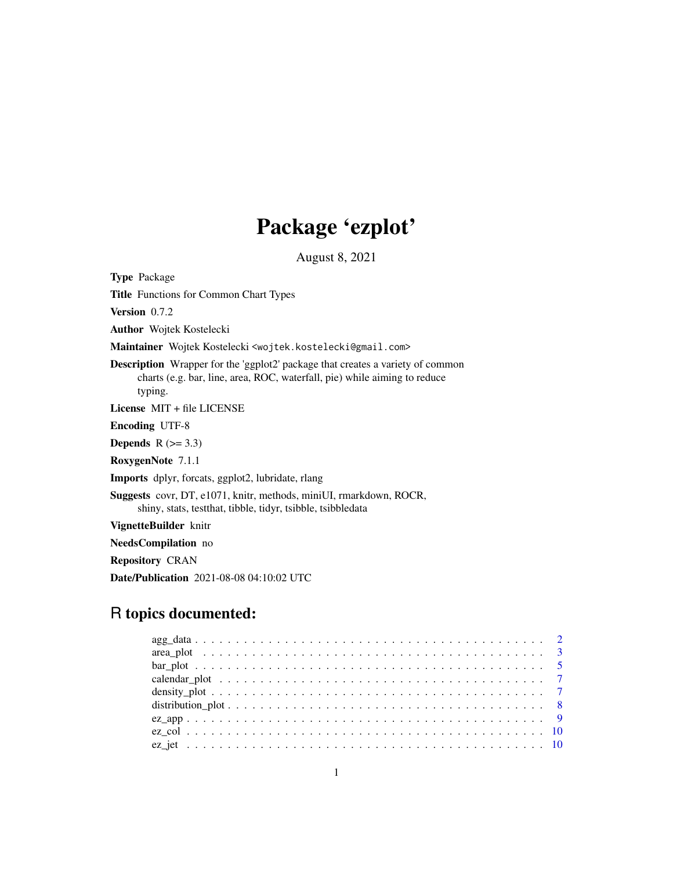# Package 'ezplot'

August 8, 2021

Type Package

Title Functions for Common Chart Types

Version 0.7.2

Author Wojtek Kostelecki

Maintainer Wojtek Kostelecki <wojtek.kostelecki@gmail.com>

Description Wrapper for the 'ggplot2' package that creates a variety of common charts (e.g. bar, line, area, ROC, waterfall, pie) while aiming to reduce typing.

License MIT + file LICENSE

Encoding UTF-8

Depends  $R$  ( $>= 3.3$ )

RoxygenNote 7.1.1

Imports dplyr, forcats, ggplot2, lubridate, rlang

Suggests covr, DT, e1071, knitr, methods, miniUI, rmarkdown, ROCR, shiny, stats, testthat, tibble, tidyr, tsibble, tsibbledata

VignetteBuilder knitr

NeedsCompilation no

Repository CRAN

Date/Publication 2021-08-08 04:10:02 UTC

# R topics documented: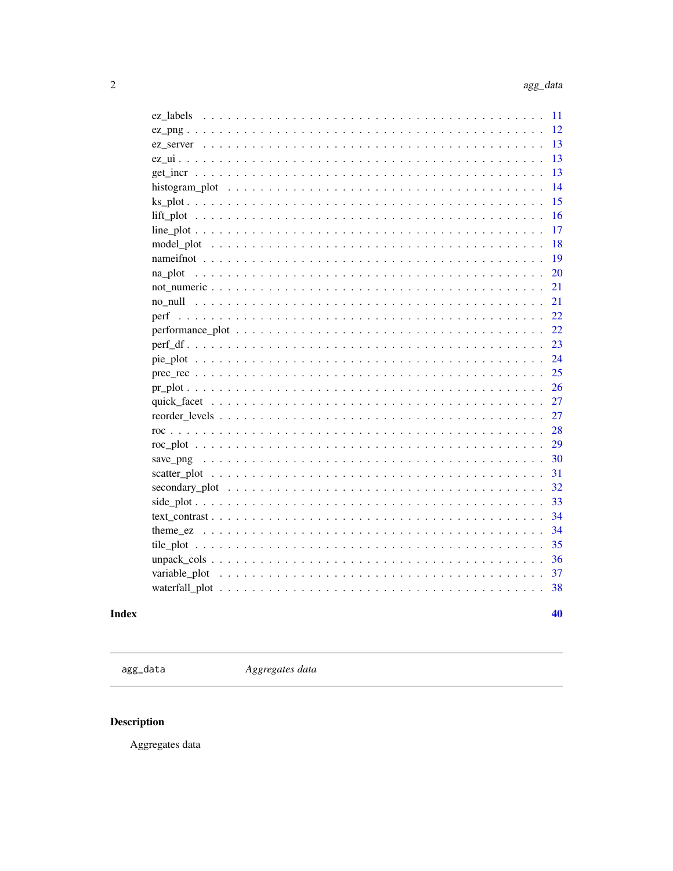<span id="page-1-0"></span>

|                                                                                                                     | 11       |
|---------------------------------------------------------------------------------------------------------------------|----------|
|                                                                                                                     | 12       |
|                                                                                                                     | 13       |
|                                                                                                                     | 13       |
|                                                                                                                     | 13       |
|                                                                                                                     | 14       |
|                                                                                                                     | 15       |
|                                                                                                                     | 16       |
|                                                                                                                     | 17       |
|                                                                                                                     | 18       |
|                                                                                                                     | 19       |
| na plot                                                                                                             | 20       |
|                                                                                                                     | 21       |
|                                                                                                                     | 21       |
|                                                                                                                     | 22       |
| $performance\_plot \dots \dots \dots \dots \dots \dots \dots \dots \dots \dots \dots \dots \dots \dots \dots \dots$ | 22       |
|                                                                                                                     | 23       |
|                                                                                                                     | 24       |
|                                                                                                                     | 25       |
|                                                                                                                     | 26       |
|                                                                                                                     | 27       |
|                                                                                                                     | 27       |
|                                                                                                                     | 28       |
|                                                                                                                     | 29       |
|                                                                                                                     | 30       |
|                                                                                                                     | 31       |
|                                                                                                                     | 32       |
|                                                                                                                     | 33       |
|                                                                                                                     | 34       |
|                                                                                                                     | 34<br>35 |
|                                                                                                                     | 36       |
|                                                                                                                     | 37       |
|                                                                                                                     | 38       |
|                                                                                                                     |          |
|                                                                                                                     | 40       |

# **Index**

agg\_data

Aggregates data

# Description

Aggregates data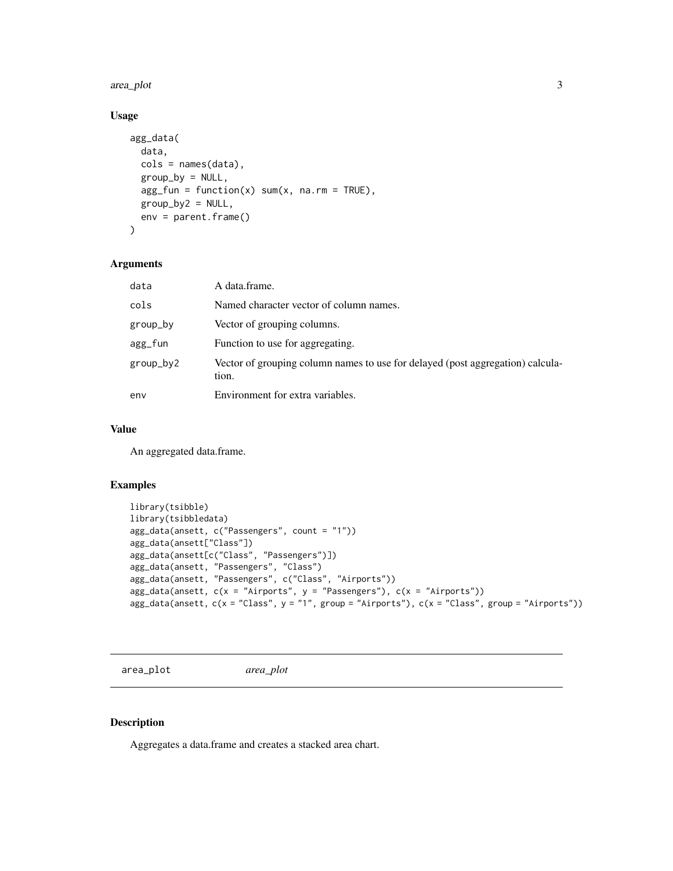#### <span id="page-2-0"></span>area\_plot 3

# Usage

```
agg_data(
  data,
 cols = names(data),
 group_by = NULL,agg_fun = function(x) sum(x, na.rm = TRUE),group_by2 = NULL,env = parent.frame()
)
```
#### Arguments

| data      | A data.frame.                                                                           |
|-----------|-----------------------------------------------------------------------------------------|
| cols      | Named character vector of column names.                                                 |
| group_by  | Vector of grouping columns.                                                             |
| agg_fun   | Function to use for aggregating.                                                        |
| group_by2 | Vector of grouping column names to use for delayed (post aggregation) calcula-<br>tion. |
| env       | Environment for extra variables.                                                        |

### Value

An aggregated data.frame.

#### Examples

```
library(tsibble)
library(tsibbledata)
agg_data(ansett, c("Passengers", count = "1"))
agg_data(ansett["Class"])
agg_data(ansett[c("Class", "Passengers")])
agg_data(ansett, "Passengers", "Class")
agg_data(ansett, "Passengers", c("Class", "Airports"))
agg_data(ansett, c(x = "Airports", y = "Passengers"), c(x = "Airports"))agg_data(ansett, c(x = "Class", y = "1", group = "Airports"), c(x = "Class", group = "Airports"))
```
area\_plot *area\_plot*

#### Description

Aggregates a data.frame and creates a stacked area chart.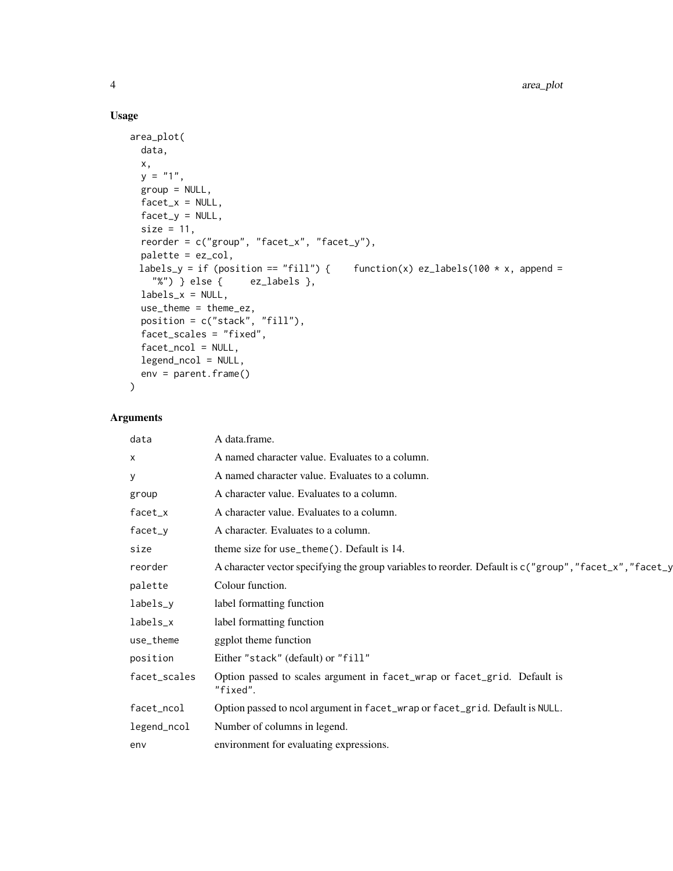# Usage

```
area_plot(
 data,
 x,
 y = "1",group = NULL,facet_x = NULL,factor_y = NULL,size = 11,reorder = c("group", "facet_x", "facet_y"),
 palette = ez_col,
 labels_y = if (position == "fill") { f function(x) ez_labels(100 * x, append =
   "%") } else { ez_labels },
 labels_x = NULL,use_theme = theme_ez,
  position = c("stack", "fill"),
 facet_scales = "fixed",
 facet_ncol = NULL,
 legend_ncol = NULL,
 env = parent.frame()
\mathcal{L}
```

| data         | A data.frame.                                                                                           |
|--------------|---------------------------------------------------------------------------------------------------------|
| $\mathsf{x}$ | A named character value. Evaluates to a column.                                                         |
| У            | A named character value. Evaluates to a column.                                                         |
| group        | A character value. Evaluates to a column.                                                               |
| facet_x      | A character value. Evaluates to a column.                                                               |
| facet_y      | A character. Evaluates to a column.                                                                     |
| size         | theme size for use_theme $()$ . Default is 14.                                                          |
| reorder      | A character vector specifying the group variables to reorder. Default is c("group", "facet_x", "facet_y |
| palette      | Colour function.                                                                                        |
| labels_y     | label formatting function                                                                               |
| labels_x     | label formatting function                                                                               |
| use_theme    | ggplot theme function                                                                                   |
| position     | Either "stack" (default) or "fill"                                                                      |
| facet_scales | Option passed to scales argument in facet_wrap or facet_grid. Default is<br>"fixed".                    |
| facet_ncol   | Option passed to ncol argument in facet_wrap or facet_grid. Default is NULL.                            |
| legend_ncol  | Number of columns in legend.                                                                            |
| env          | environment for evaluating expressions.                                                                 |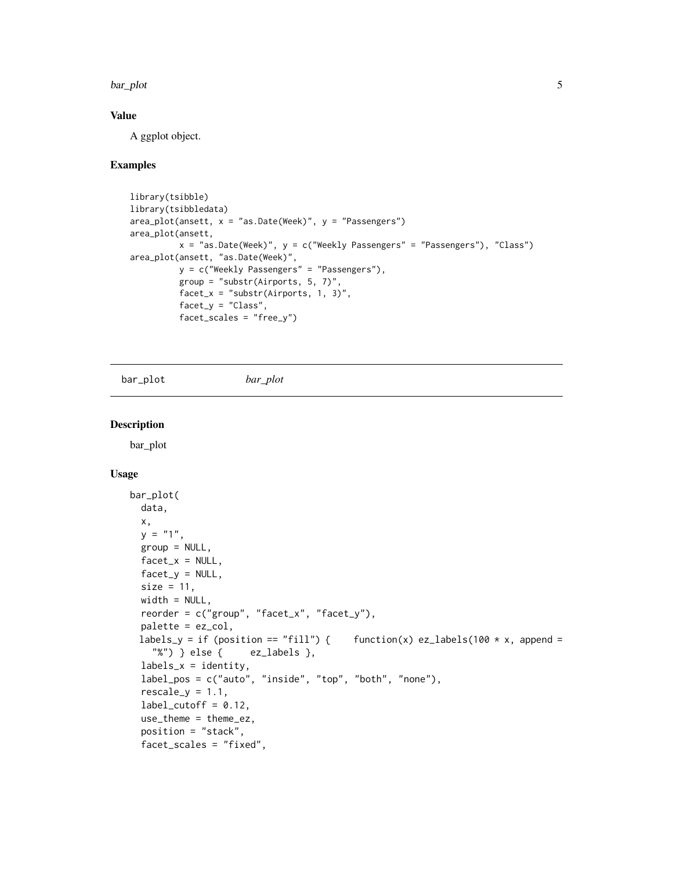#### <span id="page-4-0"></span>bar\_plot 5

#### Value

A ggplot object.

#### Examples

```
library(tsibble)
library(tsibbledata)
area_plot(ansett, x = "as.DataFrame(Week)", y = "Passengers")area_plot(ansett,
          x = "as.Date(Week)", y = c("Weekly Passengers" = "Passengers"), "Class")
area_plot(ansett, "as.Date(Week)",
          y = c("Weekly Passengers" = "Passengers"),
          group = "substr(Airports, 5, 7)",
          facet_x = "substr(Airports, 1, 3)",facet_y = "Class",
          facet_scales = "free_y")
```
bar\_plot *bar\_plot*

#### Description

bar\_plot

#### Usage

```
bar_plot(
 data,
 x,
 y = "1",group = NULL,facet_x = NULL,facet_y = NULL,size = 11,width = NULL,
 reorder = c("group", "facet_x", "facet_y"),
 palette = ez_col,
 labels_y = if (position == "fill") {    function(x) ez_labels(100 * x, append =
    "%") } else { ez_labels },
  labels_x = identity,label_pos = c("auto", "inside", "top", "both", "none"),
  rescale_y = 1.1,
  label_cutoff = 0.12,use_theme = theme_ez,
  position = "stack",
  facet_scales = "fixed",
```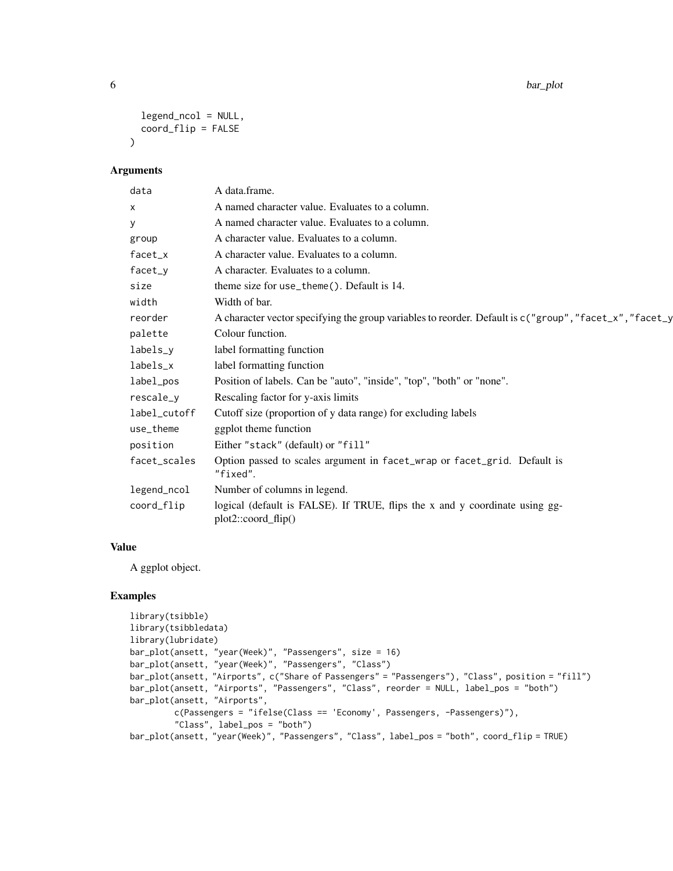6 bar\_plot

```
legend_ncol = NULL,
 coord_flip = FALSE
\lambda
```
#### Arguments

| data         | A data.frame.                                                                                           |
|--------------|---------------------------------------------------------------------------------------------------------|
| X            | A named character value. Evaluates to a column.                                                         |
| у            | A named character value. Evaluates to a column.                                                         |
| group        | A character value. Evaluates to a column.                                                               |
| facet_x      | A character value. Evaluates to a column.                                                               |
| facet_y      | A character. Evaluates to a column.                                                                     |
| size         | theme size for use_theme(). Default is 14.                                                              |
| width        | Width of bar.                                                                                           |
| reorder      | A character vector specifying the group variables to reorder. Default is c("group", "facet_x", "facet_y |
| palette      | Colour function.                                                                                        |
| labels_y     | label formatting function                                                                               |
| labels_x     | label formatting function                                                                               |
| label_pos    | Position of labels. Can be "auto", "inside", "top", "both" or "none".                                   |
| rescale_y    | Rescaling factor for y-axis limits                                                                      |
| label_cutoff | Cutoff size (proportion of y data range) for excluding labels                                           |
| use_theme    | ggplot theme function                                                                                   |
| position     | Either "stack" (default) or "fill"                                                                      |
| facet_scales | Option passed to scales argument in facet_wrap or facet_grid. Default is<br>"fixed".                    |
| legend_ncol  | Number of columns in legend.                                                                            |
| coord_flip   | logical (default is FALSE). If TRUE, flips the x and y coordinate using gg-<br>$plot2::coord_flip()$    |

# Value

A ggplot object.

```
library(tsibble)
library(tsibbledata)
library(lubridate)
bar_plot(ansett, "year(Week)", "Passengers", size = 16)
bar_plot(ansett, "year(Week)", "Passengers", "Class")
bar_plot(ansett, "Airports", c("Share of Passengers" = "Passengers"), "Class", position = "fill")
bar_plot(ansett, "Airports", "Passengers", "Class", reorder = NULL, label_pos = "both")
bar_plot(ansett, "Airports",
         c(Passengers = "ifelse(Class == 'Economy', Passengers, -Passengers)"),
         "Class", label_pos = "both")
bar_plot(ansett, "year(Week)", "Passengers", "Class", label_pos = "both", coord_flip = TRUE)
```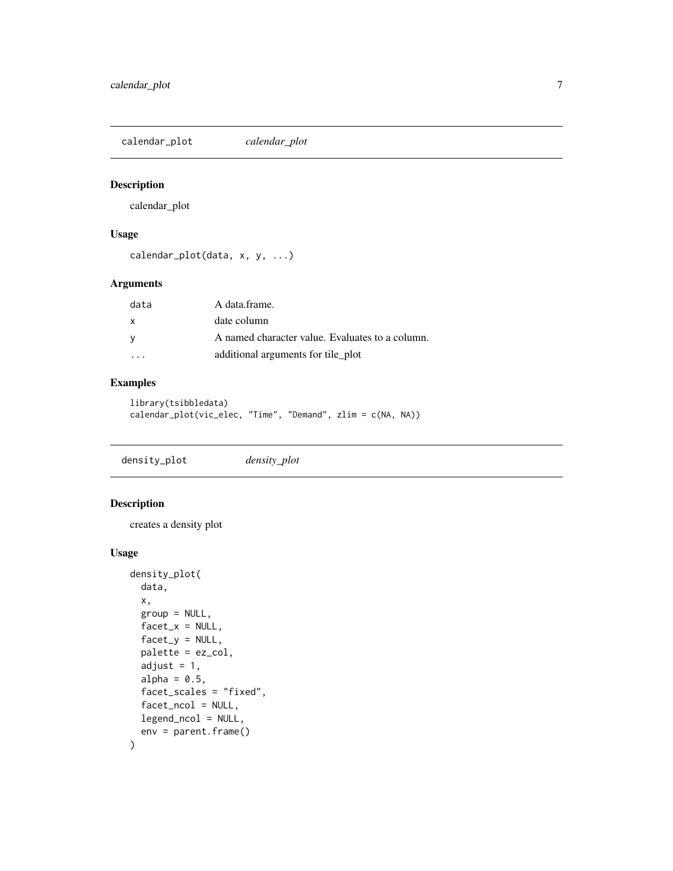<span id="page-6-0"></span>calendar\_plot *calendar\_plot*

#### Description

calendar\_plot

### Usage

```
calendar_plot(data, x, y, ...)
```
### Arguments

| data     | A data frame.                                   |
|----------|-------------------------------------------------|
| X        | date column                                     |
| <b>V</b> | A named character value. Evaluates to a column. |
|          | additional arguments for tile_plot              |

### Examples

```
library(tsibbledata)
calendar_plot(vic_elec, "Time", "Demand", zlim = c(NA, NA))
```
density\_plot *density\_plot*

#### Description

creates a density plot

#### Usage

```
density_plot(
 data,
 x,
 group = NULL,
 factor_x = NULL,factor_y = NULL,palette = ez_col,
  adjust = 1,
 alpha = 0.5,
 facet_scales = "fixed",
 facet_ncol = NULL,
 legend_ncol = NULL,
  env = parent.frame()
)
```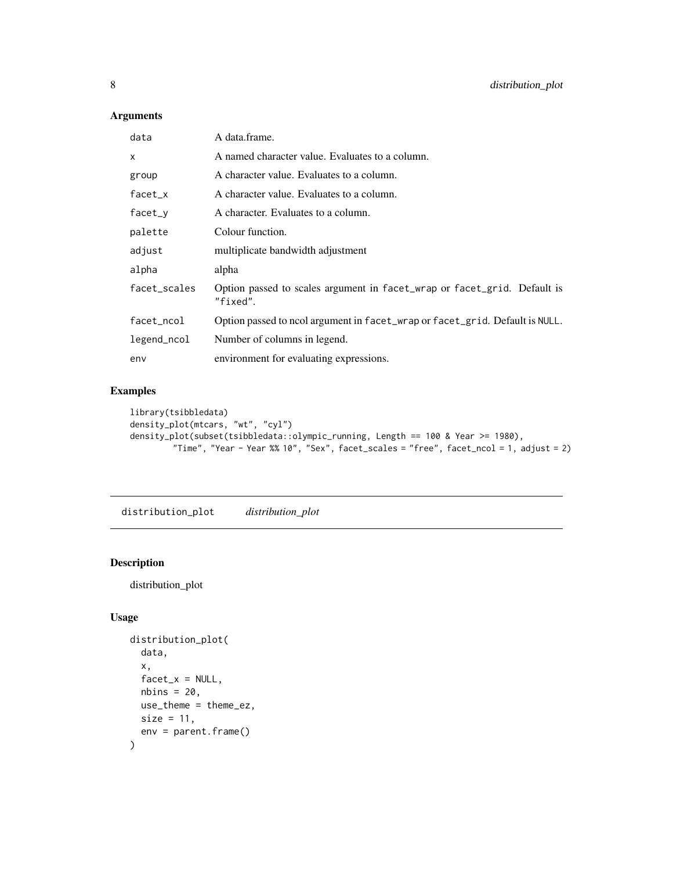# <span id="page-7-0"></span>Arguments

| data         | A data.frame.                                                                        |
|--------------|--------------------------------------------------------------------------------------|
| x            | A named character value. Evaluates to a column.                                      |
| group        | A character value. Evaluates to a column.                                            |
| $facet_x$    | A character value. Evaluates to a column.                                            |
| facet_y      | A character. Evaluates to a column.                                                  |
| palette      | Colour function.                                                                     |
| adjust       | multiplicate bandwidth adjustment                                                    |
| alpha        | alpha                                                                                |
| facet_scales | Option passed to scales argument in facet_wrap or facet_grid. Default is<br>"fixed". |
| facet_ncol   | Option passed to ncol argument in facet_wrap or facet_grid. Default is NULL.         |
| legend_ncol  | Number of columns in legend.                                                         |
| env          | environment for evaluating expressions.                                              |

### Examples

```
library(tsibbledata)
density_plot(mtcars, "wt", "cyl")
density_plot(subset(tsibbledata::olympic_running, Length == 100 & Year >= 1980),
         "Time", "Year - Year %% 10", "Sex", facet_scales = "free", facet_ncol = 1, adjust = 2)
```
distribution\_plot *distribution\_plot*

# Description

distribution\_plot

#### Usage

```
distribution_plot(
 data,
 x,
 facet_x = NULL,nbins = 20,
 use_theme = theme_ez,
 size = 11,env = parent.frame()
)
```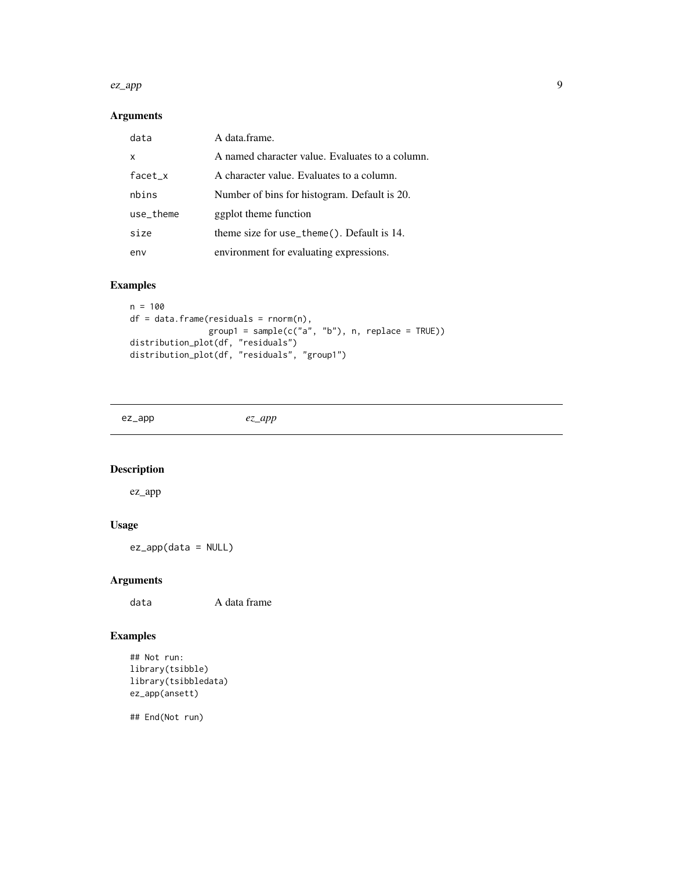#### <span id="page-8-0"></span>ez\_app 9

# Arguments

| data      | A data frame.                                   |
|-----------|-------------------------------------------------|
| X         | A named character value. Evaluates to a column. |
| $facet_x$ | A character value. Evaluates to a column.       |
| nbins     | Number of bins for histogram. Default is 20.    |
| use_theme | ggplot theme function                           |
| size      | theme size for use_theme(). Default is 14.      |
| env       | environment for evaluating expressions.         |

# Examples

```
n = 100
df = data frame(residuals = rnorm(n),\gammagroup1 = sample(c("a", "b"), n, replace = TRUE))
distribution_plot(df, "residuals")
distribution_plot(df, "residuals", "group1")
```
ez\_app *ez\_app*

# Description

ez\_app

# Usage

ez\_app(data = NULL)

# Arguments

data A data frame

# Examples

```
## Not run:
library(tsibble)
library(tsibbledata)
ez_app(ansett)
```
## End(Not run)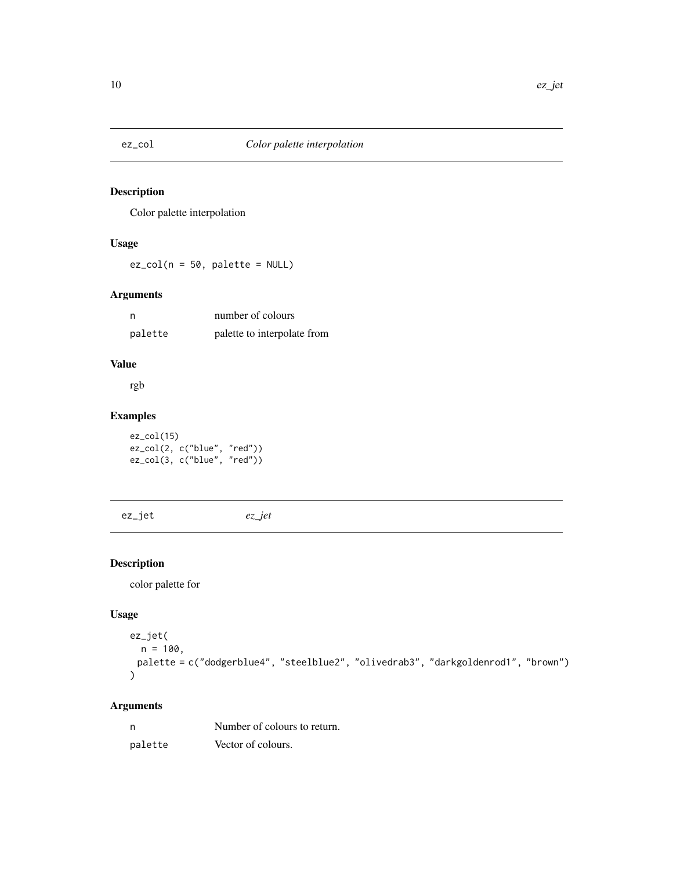<span id="page-9-0"></span>

### Description

Color palette interpolation

# Usage

 $ez_col(n = 50, platete = NULL)$ 

### Arguments

| n       | number of colours           |
|---------|-----------------------------|
| palette | palette to interpolate from |

# Value

rgb

### Examples

ez\_col(15) ez\_col(2, c("blue", "red")) ez\_col(3, c("blue", "red"))

ez\_jet *ez\_jet*

# Description

color palette for

#### Usage

```
ez_jet(
  n = 100,palette = c("dodgerblue4", "steelblue2", "olivedrab3", "darkgoldenrod1", "brown")
\mathcal{L}
```

| n       | Number of colours to return. |
|---------|------------------------------|
| palette | Vector of colours.           |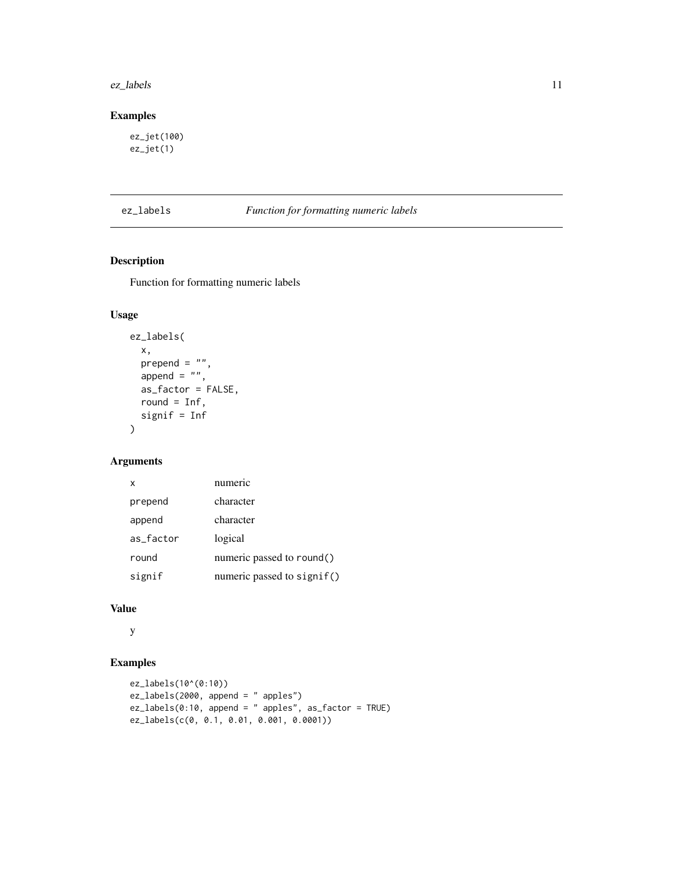#### <span id="page-10-0"></span>ez\_labels 11

# Examples

ez\_jet(100) ez\_jet(1)

### ez\_labels *Function for formatting numeric labels*

### Description

Function for formatting numeric labels

# Usage

```
ez_labels(
 x,
 prepend = ",
 append = ",
 as_factor = FALSE,
 round = Inf,
 signif = Inf
)
```
#### Arguments

| x         | numeric                    |
|-----------|----------------------------|
| prepend   | character                  |
| append    | character                  |
| as_factor | logical                    |
| round     | numeric passed to round()  |
| signif    | numeric passed to signif() |

# Value

y

```
ez_labels(10^(0:10))
ez_labels(2000, append = " apples")
ez_labels(0:10, append = " apples", as_factor = TRUE)
ez_labels(c(0, 0.1, 0.01, 0.001, 0.0001))
```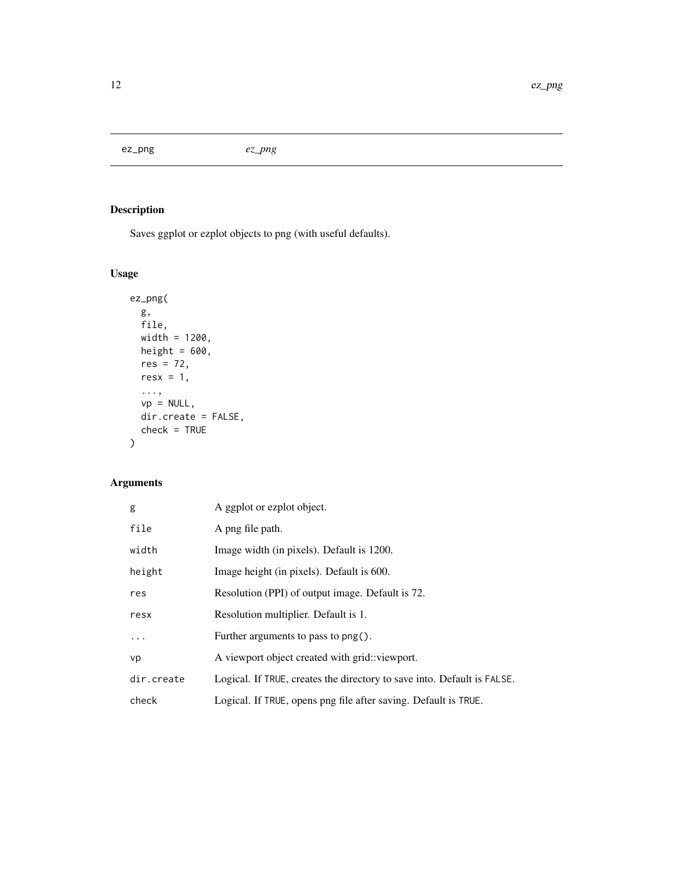<span id="page-11-0"></span>ez\_png *ez\_png*

# Description

Saves ggplot or ezplot objects to png (with useful defaults).

# Usage

```
ez_png(
  g,
  file,
  width = 1200,
  height = 600,
  res = 72,
  resx = 1,
  ...,
 vp = NULL,dir.create = FALSE,
  check = TRUE
)
```

| g          | A ggplot or ezplot object.                                              |
|------------|-------------------------------------------------------------------------|
| file       | A png file path.                                                        |
| width      | Image width (in pixels). Default is 1200.                               |
| height     | Image height (in pixels). Default is 600.                               |
| res        | Resolution (PPI) of output image. Default is 72.                        |
| resx       | Resolution multiplier. Default is 1.                                    |
| $\ddots$   | Further arguments to pass to $\text{png}()$ .                           |
| vp         | A viewport object created with grid: viewport.                          |
| dir.create | Logical. If TRUE, creates the directory to save into. Default is FALSE. |
| check      | Logical. If TRUE, opens png file after saving. Default is TRUE.         |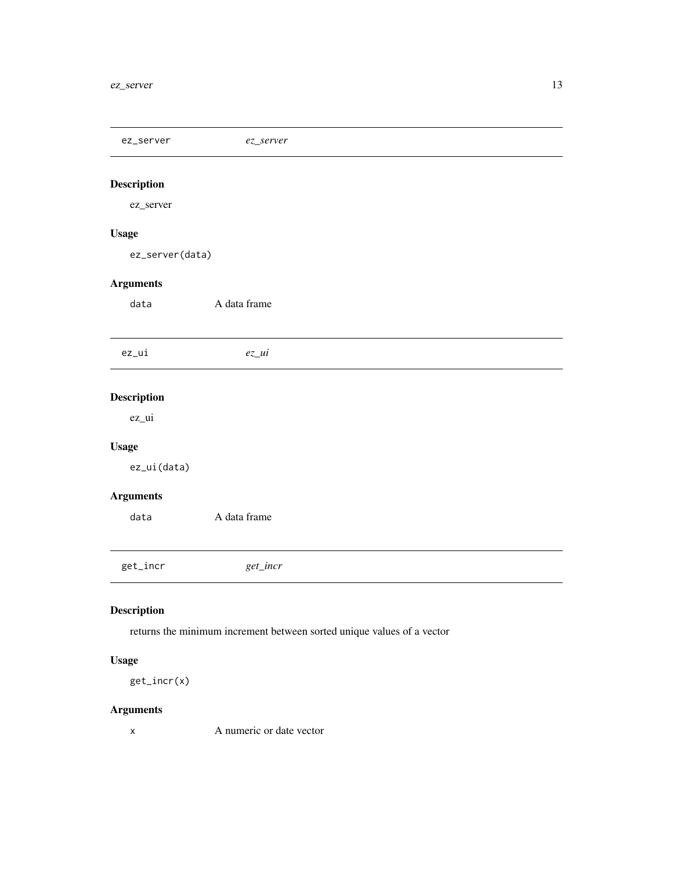<span id="page-12-0"></span>ez\_server *ez\_server*

# Description

ez\_server

### Usage

ez\_server(data)

### Arguments

data A data frame

ez\_ui *ez\_ui*

# Description

ez\_ui

### Usage

ez\_ui(data)

# Arguments

data A data frame

get\_incr *get\_incr*

# Description

returns the minimum increment between sorted unique values of a vector

# Usage

get\_incr(x)

### Arguments

x A numeric or date vector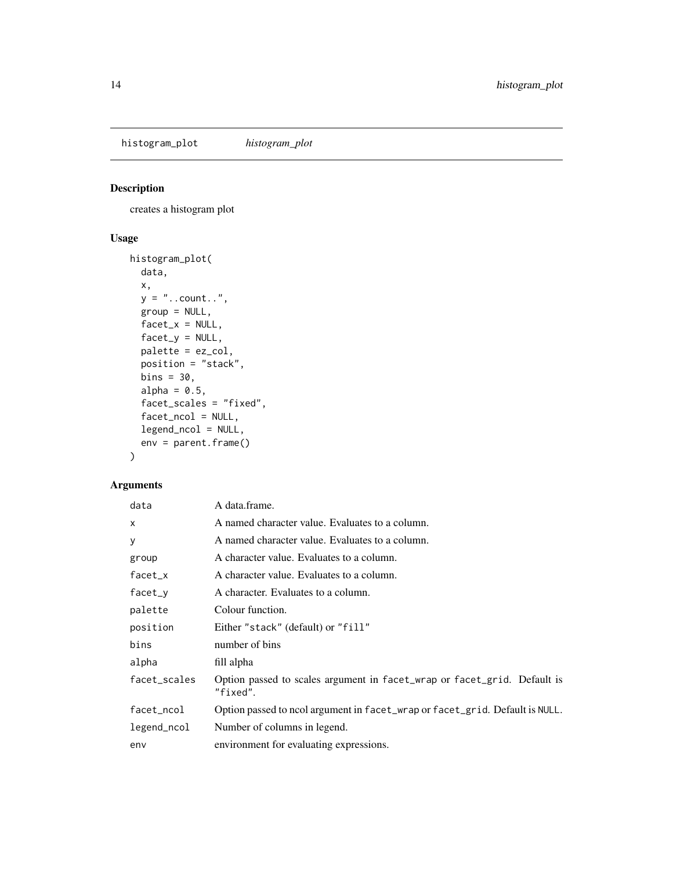<span id="page-13-0"></span>histogram\_plot *histogram\_plot*

### Description

creates a histogram plot

### Usage

```
histogram_plot(
 data,
 x,
 y = "..count..",
 group = NULL,
 factor_x = NULL,factor_y = NULL,palette = ez_col,
 position = "stack",
 bins = 30,
 alpha = 0.5,
 facet_scales = "fixed",
 facet_ncol = NULL,
 legend_ncol = NULL,
 env = parent.frame()
)
```

| data         | A data.frame.                                                                        |
|--------------|--------------------------------------------------------------------------------------|
| $\mathsf{x}$ | A named character value. Evaluates to a column.                                      |
| У            | A named character value. Evaluates to a column.                                      |
| group        | A character value. Evaluates to a column.                                            |
| $facet_x$    | A character value. Evaluates to a column.                                            |
| facet_y      | A character. Evaluates to a column.                                                  |
| palette      | Colour function.                                                                     |
| position     | Either "stack" (default) or "fill"                                                   |
| bins         | number of bins                                                                       |
| alpha        | fill alpha                                                                           |
| facet_scales | Option passed to scales argument in facet_wrap or facet_grid. Default is<br>"fixed". |
| facet_ncol   | Option passed to ncol argument in facet_wrap or facet_grid. Default is NULL.         |
| legend_ncol  | Number of columns in legend.                                                         |
| env          | environment for evaluating expressions.                                              |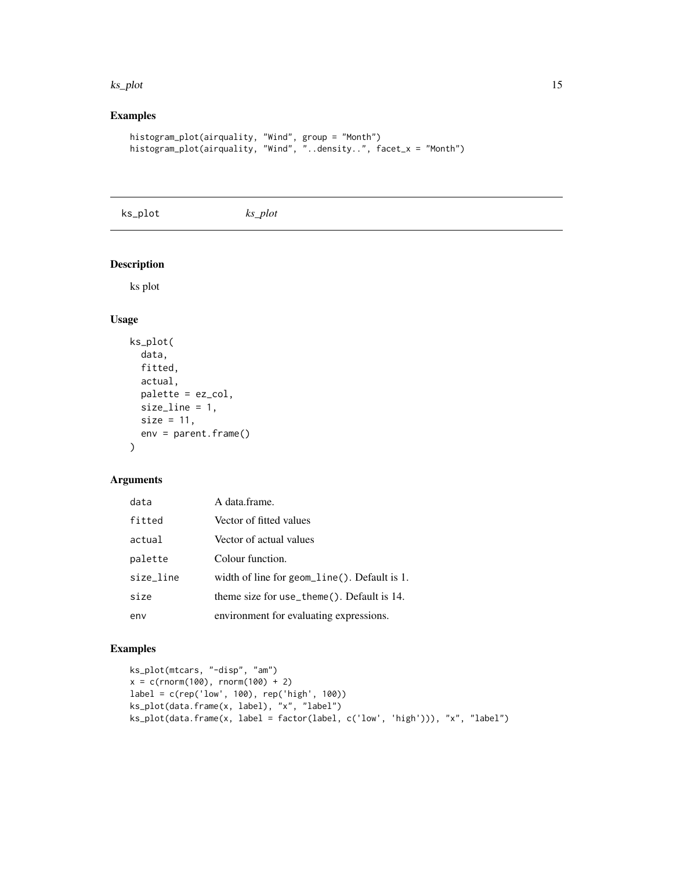#### <span id="page-14-0"></span>ks\_plot 15

# Examples

```
histogram_plot(airquality, "Wind", group = "Month")
histogram_plot(airquality, "Wind", "..density..", facet_x = "Month")
```
ks\_plot *ks\_plot*

#### Description

ks plot

### Usage

```
ks_plot(
  data,
  fitted,
 actual,
 palette = ez_col,
 size_line = 1,
 size = 11,
 env = parent.frame()
)
```
#### Arguments

| data      | A data.frame.                                |
|-----------|----------------------------------------------|
| fitted    | Vector of fitted values                      |
| actual    | Vector of actual values                      |
| palette   | Colour function.                             |
| size_line | width of line for geom_line(). Default is 1. |
| size      | theme size for use_theme(). Default is 14.   |
| env       | environment for evaluating expressions.      |

```
ks_plot(mtcars, "-disp", "am")
x = c(rnorm(100), rnorm(100) + 2)label = c(rep('low', 100), rep('high', 100))
ks_plot(data.frame(x, label), "x", "label")
ks_plot(data.frame(x, label = factor(label, c('low', 'high'))), "x", "label")
```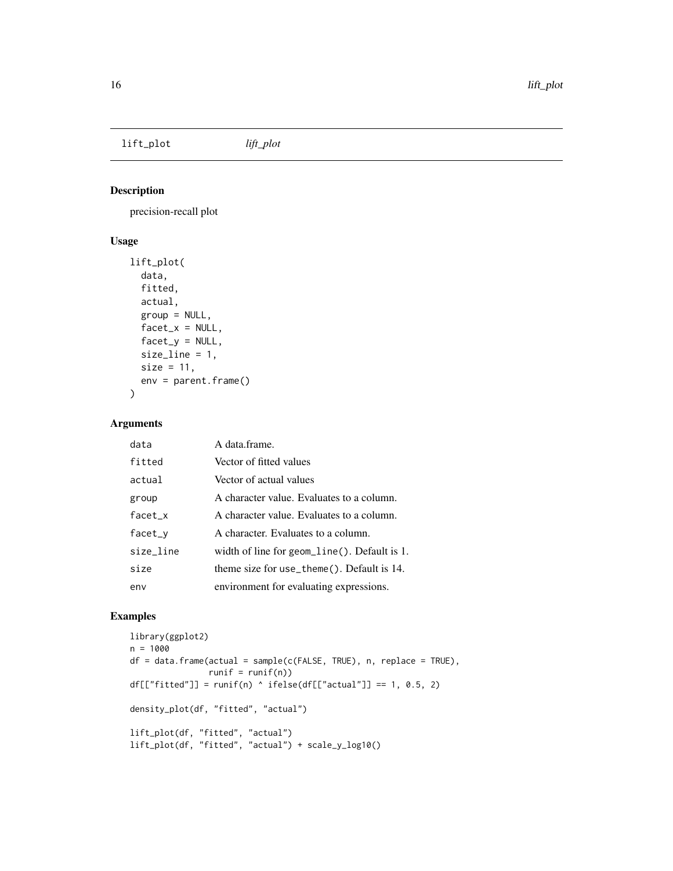<span id="page-15-0"></span>lift\_plot *lift\_plot*

# Description

precision-recall plot

# Usage

```
lift_plot(
 data,
 fitted,
 actual,
 group = NULL,
 factor_x = NULL,fact_y = NULL,size_line = 1,
 size = 11,env = parent.frame()
)
```
### Arguments

| data      | A data frame.                                   |
|-----------|-------------------------------------------------|
| fitted    | Vector of fitted values                         |
| actual    | Vector of actual values                         |
| group     | A character value. Evaluates to a column.       |
| facet_x   | A character value. Evaluates to a column.       |
| $facet_v$ | A character. Evaluates to a column.             |
| size_line | width of line for geom_line(). Default is $1$ . |
| size      | theme size for use_theme(). Default is $14$ .   |
| env       | environment for evaluating expressions.         |

```
library(ggplot2)
n = 1000
df = data frame(actual = sample(c(FALSE, TRUE), n, replace = TRUE),runif = runif(n))
df[["fitted"] = runif(n) 'ifelse(df[["actual"] == 1, 0.5, 2)density_plot(df, "fitted", "actual")
lift_plot(df, "fitted", "actual")
lift_plot(df, "fitted", "actual") + scale_y_log10()
```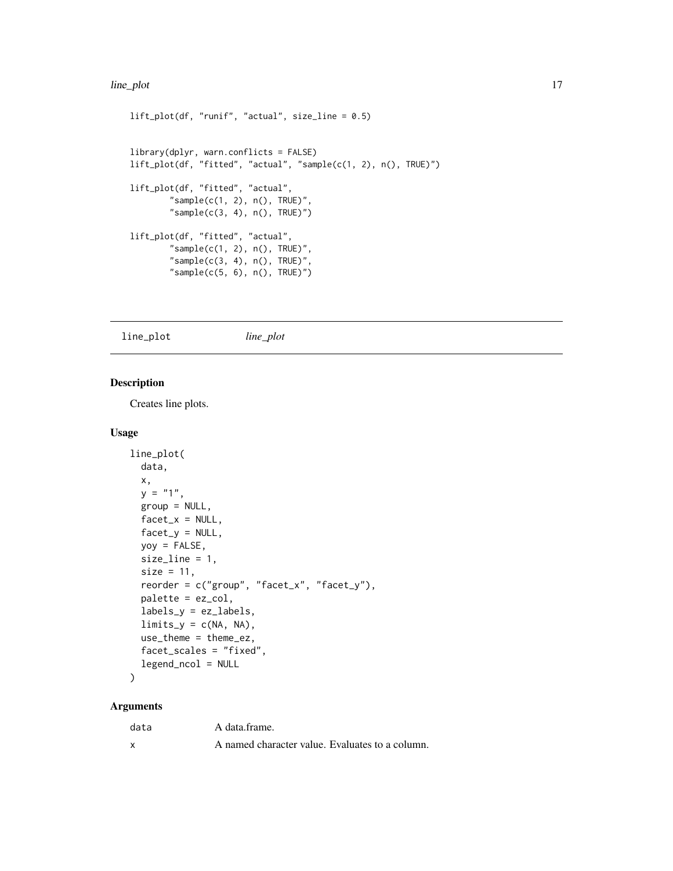#### <span id="page-16-0"></span>line\_plot 17

```
lift_plot(df, "runif", "actual", size_line = 0.5)
library(dplyr, warn.conflicts = FALSE)
lift_plot(df, "fitted", "actual", "sample(c(1, 2), n(), TRUE)")
lift_plot(df, "fitted", "actual",
        "sample(c(1, 2), n(), TRUE)",
        "sample(c(3, 4), n(), TRUE)")lift_plot(df, "fitted", "actual",
        "sample(c(1, 2), n(), TRUE)",
        "sample(c(3, 4), n(), TRUE)",
        "sample(c(5, 6), n(), TRUE)")
```
line\_plot *line\_plot*

#### Description

Creates line plots.

#### Usage

```
line_plot(
 data,
  x,
  y = "1",group = NULL,
  facet_x = NULL,factor_y = NULL,yoy = FALSE,
  size_line = 1,
  size = 11,
  reorder = c("group", "facet_x", "facet_y"),
 palette = ez_col,
  labels_y = ez_labels,
  limits_y = c(NA, NA),use_theme = theme_ez,
  facet_scales = "fixed",
  legend_ncol = NULL
)
```

| data | A data frame.                                   |
|------|-------------------------------------------------|
|      | A named character value. Evaluates to a column. |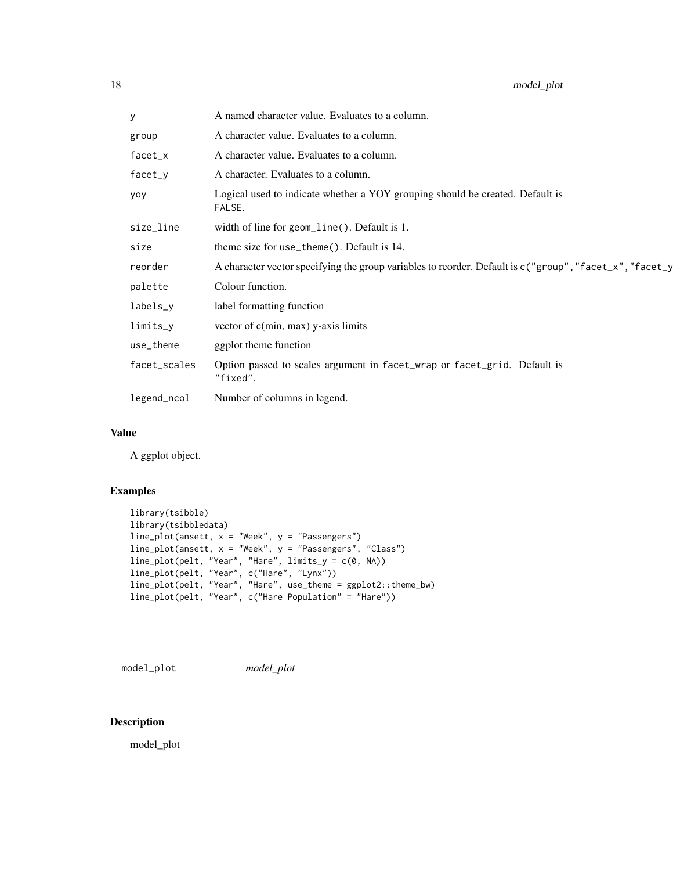<span id="page-17-0"></span>

| у            | A named character value. Evaluates to a column.                                                         |
|--------------|---------------------------------------------------------------------------------------------------------|
| group        | A character value. Evaluates to a column.                                                               |
| $facet_x$    | A character value. Evaluates to a column.                                                               |
| $facet_y$    | A character. Evaluates to a column.                                                                     |
| yoy          | Logical used to indicate whether a YOY grouping should be created. Default is<br>FALSE.                 |
| size_line    | width of line for geom_line(). Default is 1.                                                            |
| size         | theme size for use_theme(). Default is 14.                                                              |
| reorder      | A character vector specifying the group variables to reorder. Default is c("group", "facet_x", "facet_y |
| palette      | Colour function.                                                                                        |
| labels_y     | label formatting function                                                                               |
| limits_y     | vector of $c(min, max)$ y-axis limits                                                                   |
| use_theme    | ggplot theme function                                                                                   |
| facet_scales | Option passed to scales argument in facet_wrap or facet_grid. Default is<br>"fixed".                    |
| legend_ncol  | Number of columns in legend.                                                                            |

#### Value

A ggplot object.

# Examples

```
library(tsibble)
library(tsibbledata)
line_plot(ansett, x = "Week", y = "Passengers")
line_plot(ansett, x = "Week", y = "Passengers", "Class")
line_plot(pelt, "Year", "Hare", limits_y = c(0, NA))
line_plot(pelt, "Year", c("Hare", "Lynx"))
line_plot(pelt, "Year", "Hare", use_theme = ggplot2::theme_bw)
line_plot(pelt, "Year", c("Hare Population" = "Hare"))
```
model\_plot *model\_plot*

# Description

model\_plot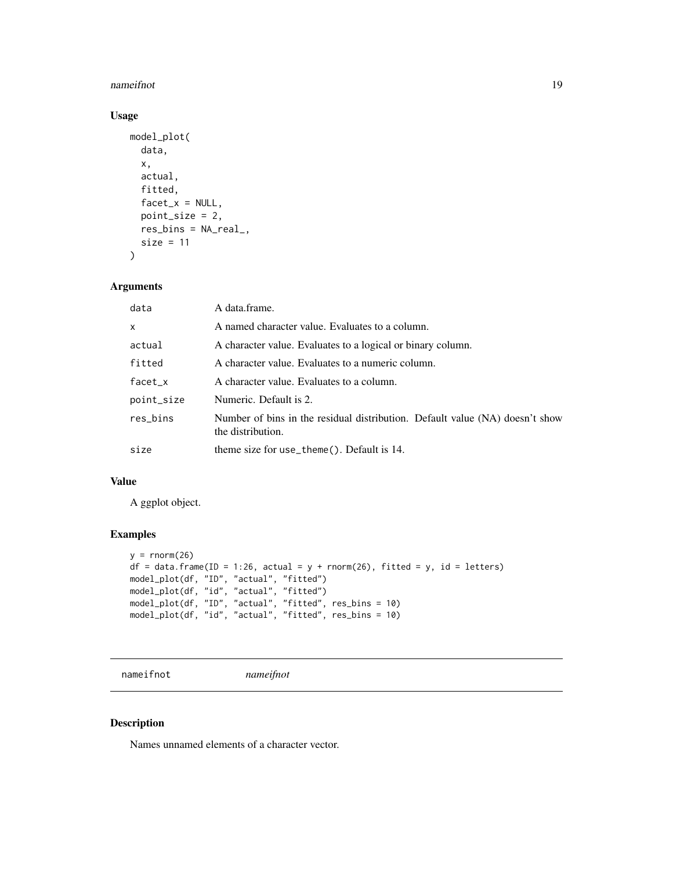#### <span id="page-18-0"></span>nameifnot 19

# Usage

```
model_plot(
  data,
  x,
  actual,
  fitted,
  facet_x = NULL,point_size = 2,
  res_bins = NA_real_,
  size = 11
\mathcal{L}
```
#### Arguments

| data       | A data frame.                                                                                     |  |
|------------|---------------------------------------------------------------------------------------------------|--|
| X          | A named character value. Evaluates to a column.                                                   |  |
| actual     | A character value. Evaluates to a logical or binary column.                                       |  |
| fitted     | A character value. Evaluates to a numeric column.                                                 |  |
| $facet_x$  | A character value. Evaluates to a column.                                                         |  |
| point_size | Numeric. Default is 2.                                                                            |  |
| res_bins   | Number of bins in the residual distribution. Default value (NA) doesn't show<br>the distribution. |  |
| size       | theme size for use_theme(). Default is 14.                                                        |  |

#### Value

A ggplot object.

### Examples

```
y = \text{rnorm}(26)df = data frame(ID = 1:26, actual = y + norm(26), fitted = y, id = letters)model_plot(df, "ID", "actual", "fitted")
model_plot(df, "id", "actual", "fitted")
model_plot(df, "ID", "actual", "fitted", res_bins = 10)
model_plot(df, "id", "actual", "fitted", res_bins = 10)
```
nameifnot *nameifnot*

### Description

Names unnamed elements of a character vector.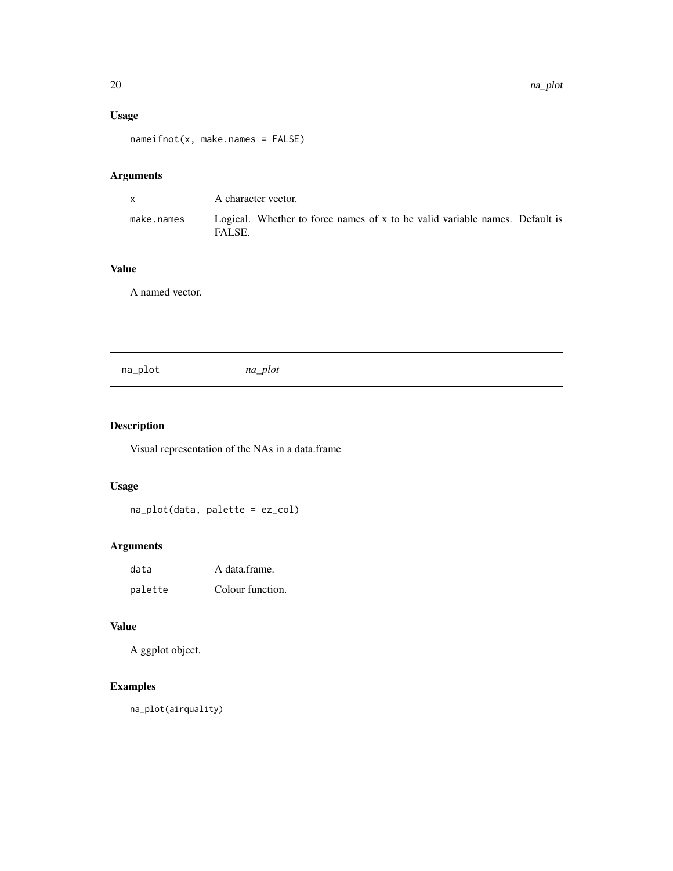# <span id="page-19-0"></span>Usage

nameifnot(x, make.names = FALSE)

# Arguments

| $\mathsf{X}$ | A character vector.                                                                   |  |
|--------------|---------------------------------------------------------------------------------------|--|
| make.names   | Logical. Whether to force names of x to be valid variable names. Default is<br>FALSE. |  |

# Value

A named vector.

na\_plot *na\_plot*

# Description

Visual representation of the NAs in a data.frame

# Usage

na\_plot(data, palette = ez\_col)

# Arguments

| data    | A data frame.    |
|---------|------------------|
| palette | Colour function. |

# Value

A ggplot object.

# Examples

na\_plot(airquality)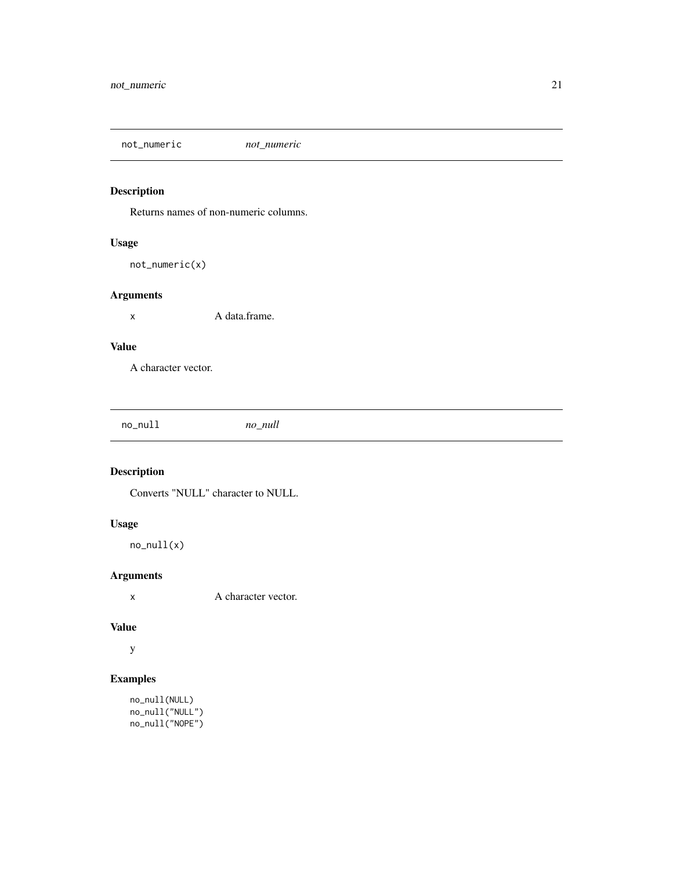<span id="page-20-0"></span>not\_numeric *not\_numeric*

# Description

Returns names of non-numeric columns.

### Usage

not\_numeric(x)

### Arguments

x A data.frame.

#### Value

A character vector.

|  | no null<br>___ | no_null |
|--|----------------|---------|
|--|----------------|---------|

# Description

Converts "NULL" character to NULL.

### Usage

no\_null(x)

# Arguments

x A character vector.

#### Value

y

```
no_null(NULL)
no_null("NULL")
no_null("NOPE")
```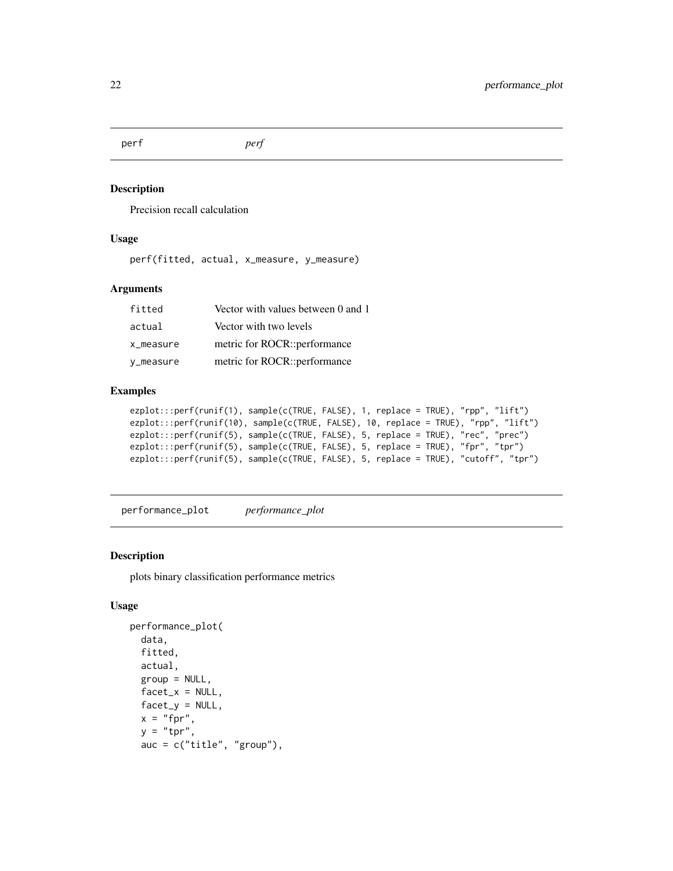<span id="page-21-0"></span>perf *perf*

#### Description

Precision recall calculation

#### Usage

perf(fitted, actual, x\_measure, y\_measure)

#### Arguments

| fitted    | Vector with values between 0 and 1 |
|-----------|------------------------------------|
| actual    | Vector with two levels             |
| x_measure | metric for ROCR::performance       |
| y_measure | metric for ROCR::performance       |

#### Examples

```
ezplot:::perf(runif(1), sample(c(TRUE, FALSE), 1, replace = TRUE), "rpp", "lift")
ezplot:::perf(runif(10), sample(c(TRUE, FALSE), 10, replace = TRUE), "rpp", "lift")
ezplot:::perf(runif(5), sample(c(TRUE, FALSE), 5, replace = TRUE), "rec", "prec")
ezplot:::perf(runif(5), sample(c(TRUE, FALSE), 5, replace = TRUE), "fpr", "tpr")
ezplot:::perf(runif(5), sample(c(TRUE, FALSE), 5, replace = TRUE), "cutoff", "tpr")
```
performance\_plot *performance\_plot*

### Description

plots binary classification performance metrics

#### Usage

```
performance_plot(
  data,
  fitted,
  actual,
  group = NULL,facet_x = NULL,factor_y = NULL,x = "fpr",y = "tpr",auc = c("title", "group"),
```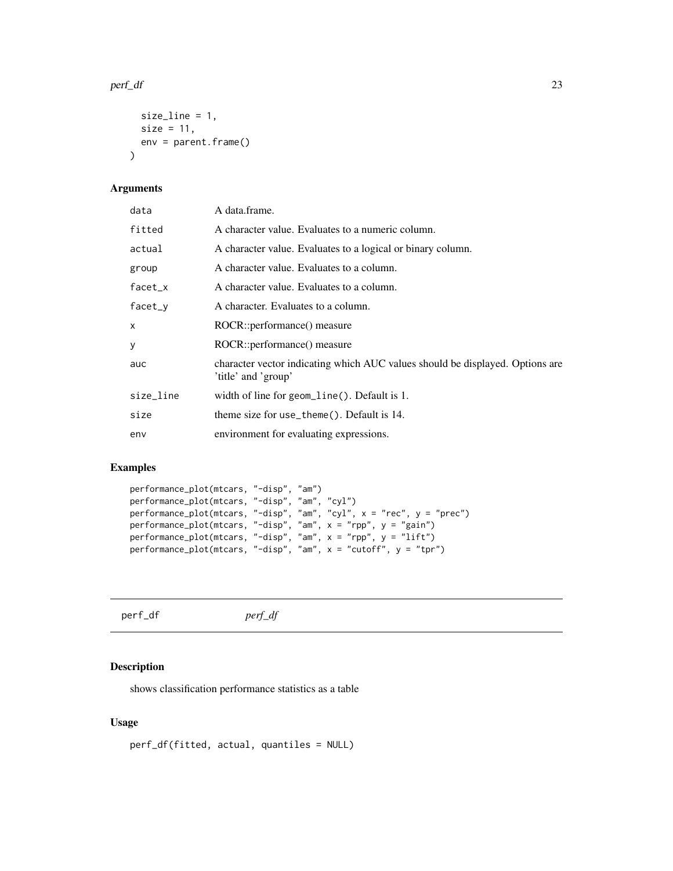#### <span id="page-22-0"></span>perf\_df 23

```
size_line = 1,
  size = 11,
  env = parent.frame()
\mathcal{L}
```
# Arguments

| data      | A data.frame.                                                                                        |
|-----------|------------------------------------------------------------------------------------------------------|
| fitted    | A character value. Evaluates to a numeric column.                                                    |
| actual    | A character value. Evaluates to a logical or binary column.                                          |
| group     | A character value. Evaluates to a column.                                                            |
| facet_x   | A character value. Evaluates to a column.                                                            |
| facet_y   | A character. Evaluates to a column.                                                                  |
| X         | ROCR::performance() measure                                                                          |
| У         | ROCR::performance() measure                                                                          |
| auc       | character vector indicating which AUC values should be displayed. Options are<br>'title' and 'group' |
| size_line | width of line for geom_line(). Default is 1.                                                         |
| size      | theme size for use_theme(). Default is 14.                                                           |
| env       | environment for evaluating expressions.                                                              |

#### Examples

```
performance_plot(mtcars, "-disp", "am")
performance_plot(mtcars, "-disp", "am", "cyl")
performance_plot(mtcars, "-disp", "am", "cyl", x = "rec", y = "prec")
performance_plot(mtcars, "-disp", "am", x = "rpp", y = "gain")
performance_plot(mtcars, "-disp", "am", x = "rpp", y = "lift")
performance_plot(mtcars, "-disp", "am", x = "cutoff", y = "tpr")
```

| perf_df | $perf_f$ |
|---------|----------|
|         |          |

# Description

shows classification performance statistics as a table

#### Usage

perf\_df(fitted, actual, quantiles = NULL)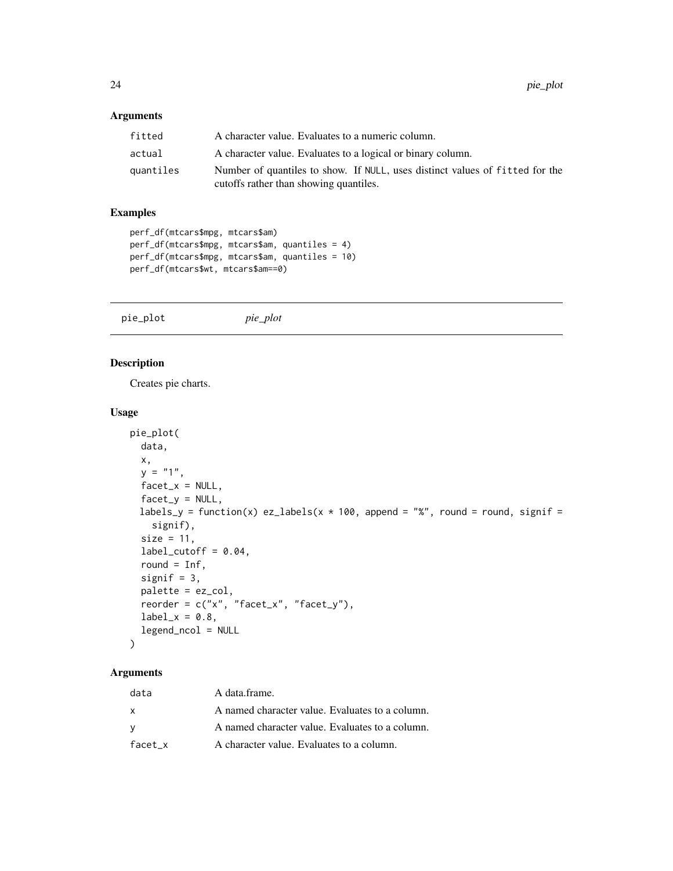#### <span id="page-23-0"></span>Arguments

| fitted    | A character value. Evaluates to a numeric column.                                                                      |
|-----------|------------------------------------------------------------------------------------------------------------------------|
| actual    | A character value. Evaluates to a logical or binary column.                                                            |
| quantiles | Number of quantiles to show. If NULL, uses distinct values of fitted for the<br>cutoffs rather than showing quantiles. |

# Examples

```
perf_df(mtcars$mpg, mtcars$am)
perf_df(mtcars$mpg, mtcars$am, quantiles = 4)
perf_df(mtcars$mpg, mtcars$am, quantiles = 10)
perf_df(mtcars$wt, mtcars$am==0)
```
pie\_plot *pie\_plot*

### Description

Creates pie charts.

#### Usage

```
pie_plot(
  data,
 x,
 y = "1",factor_x = NULL,factor_y = NULL,labels_y = function(x) ez_labels(x * 100, append = "%", round = round, signif =
    signif),
  size = 11,label_cutoff = 0.04,round = Inf,
  signif = 3,
  palette = ez_col,
  reorder = c("x", "facet_x", "facet_y"),
  label_x = 0.8,
  legend_ncol = NULL
\mathcal{L}
```

| data    | A data frame.                                   |
|---------|-------------------------------------------------|
| x       | A named character value. Evaluates to a column. |
| v       | A named character value. Evaluates to a column. |
| facet x | A character value. Evaluates to a column.       |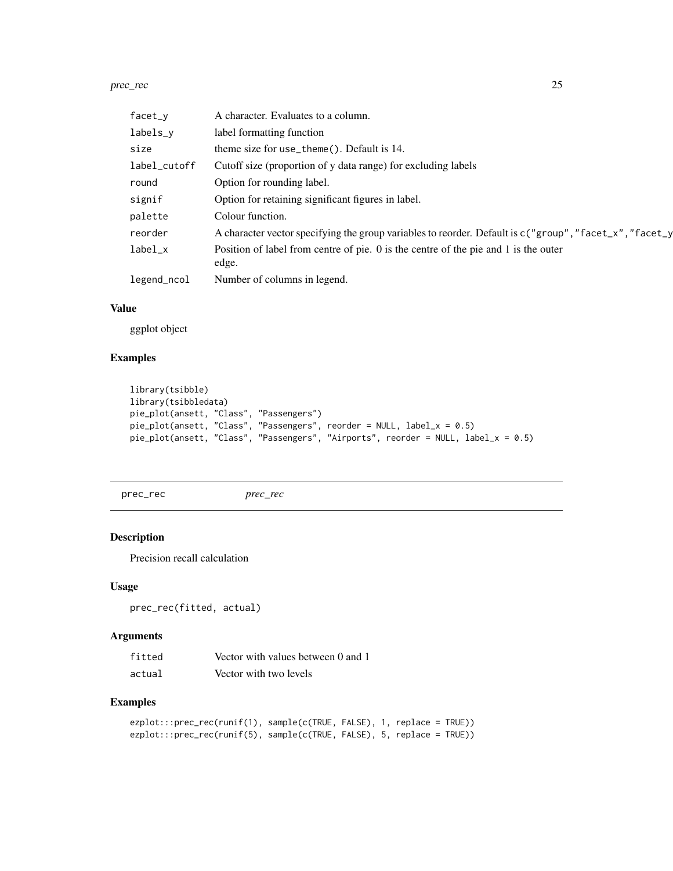#### <span id="page-24-0"></span>prec\_rec 25

| facet_y      | A character. Evaluates to a column.                                                                       |
|--------------|-----------------------------------------------------------------------------------------------------------|
| labels_y     | label formatting function                                                                                 |
| size         | theme size for use_theme(). Default is 14.                                                                |
| label_cutoff | Cutoff size (proportion of y data range) for excluding labels                                             |
| round        | Option for rounding label.                                                                                |
| signif       | Option for retaining significant figures in label.                                                        |
| palette      | Colour function.                                                                                          |
| reorder      | A character vector specifying the group variables to reorder. Default is $c("group", "facet_x", "facet_y$ |
| $label_x$    | Position of label from centre of pie. 0 is the centre of the pie and 1 is the outer<br>edge.              |
| legend_ncol  | Number of columns in legend.                                                                              |

#### Value

ggplot object

# Examples

```
library(tsibble)
library(tsibbledata)
pie_plot(ansett, "Class", "Passengers")
pie_plot(ansett, "Class", "Passengers", reorder = NULL, label_x = 0.5)
pie_plot(ansett, "Class", "Passengers", "Airports", reorder = NULL, label_x = 0.5)
```
prec\_rec *prec\_rec*

### Description

Precision recall calculation

#### Usage

prec\_rec(fitted, actual)

# Arguments

| fitted | Vector with values between 0 and 1 |
|--------|------------------------------------|
| actual | Vector with two levels             |

```
ezplot:::prec_rec(runif(1), sample(c(TRUE, FALSE), 1, replace = TRUE))
ezplot:::prec_rec(runif(5), sample(c(TRUE, FALSE), 5, replace = TRUE))
```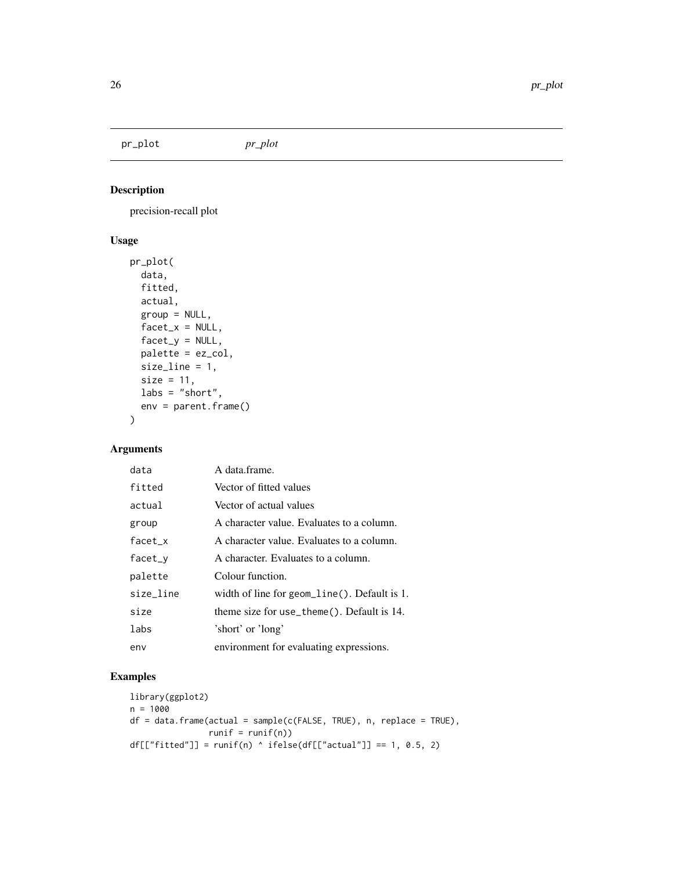<span id="page-25-0"></span>pr\_plot *pr\_plot*

### Description

precision-recall plot

# Usage

```
pr_plot(
 data,
  fitted,
  actual,
 group = NULL,
 facet_x = NULL,factor_y = NULL,palette = ez_col,
 size_line = 1,
 size = 11,labs = "short",env = parent.frame()
)
```
# Arguments

| data      | A data frame.                                    |
|-----------|--------------------------------------------------|
| fitted    | Vector of fitted values                          |
| actual    | Vector of actual values                          |
| group     | A character value. Evaluates to a column.        |
| $facet_x$ | A character value. Evaluates to a column.        |
| facet_y   | A character. Evaluates to a column.              |
| palette   | Colour function.                                 |
| size line | width of line for geom_line( $)$ . Default is 1. |
| size      | theme size for use_theme(). Default is $14$ .    |
| labs      | 'short' or 'long'                                |
| env       | environment for evaluating expressions.          |

```
library(ggplot2)
n = 1000
df = data.frame(actual = sample(c(FALSE, TRUE), n, replace = TRUE),
               runif = runif(n))df[["fitted"]] = runif(n) ^ ifelse(df[["actual"]] == 1, 0.5, 2)
```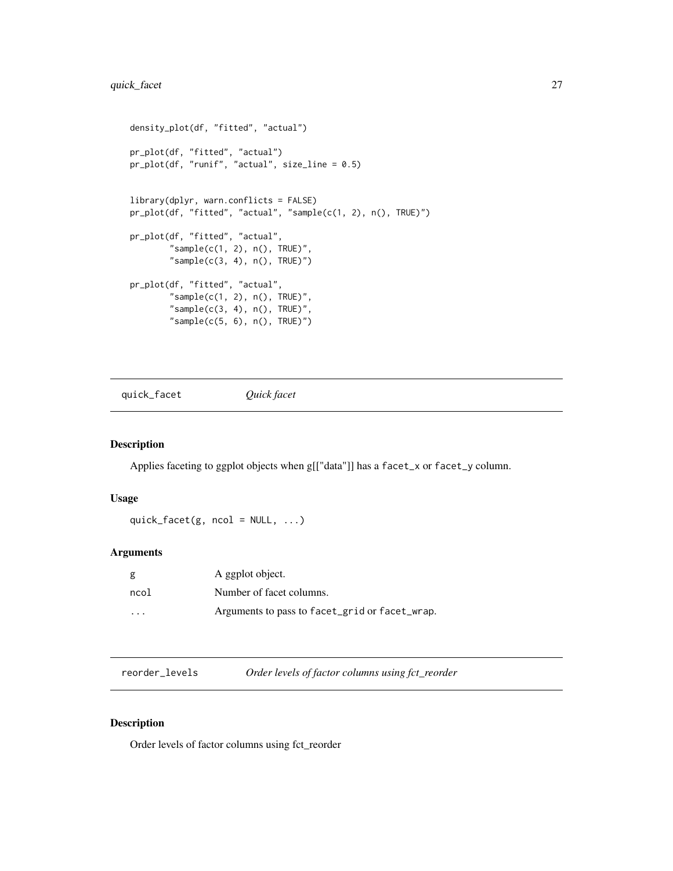```
density_plot(df, "fitted", "actual")
pr_plot(df, "fitted", "actual")
pr_plot(df, "runif", "actual", size_line = 0.5)
library(dplyr, warn.conflicts = FALSE)
pr_plot(df, "fitted", "actual", "sample(c(1, 2), n(), TRUE)")
pr_plot(df, "fitted", "actual",
        "sample(c(1, 2), n(), TRUE)",
        "sample(c(3, 4), n(), TRUE)")
pr_plot(df, "fitted", "actual",
        "sample(c(1, 2), n(), TRUE)",
        "sample(c(3, 4), n(), TRUE)","sample(c(5, 6), n(), TRUE)")
```
quick\_facet *Quick facet*

#### Description

Applies faceting to ggplot objects when g[["data"]] has a facet\_x or facet\_y column.

#### Usage

```
quick_facet(g, ncol = NULL, ...)
```
### Arguments

| g       | A ggplot object.                               |
|---------|------------------------------------------------|
| ncol    | Number of facet columns.                       |
| $\cdot$ | Arguments to pass to facet_grid or facet_wrap. |

reorder\_levels *Order levels of factor columns using fct\_reorder*

#### Description

Order levels of factor columns using fct\_reorder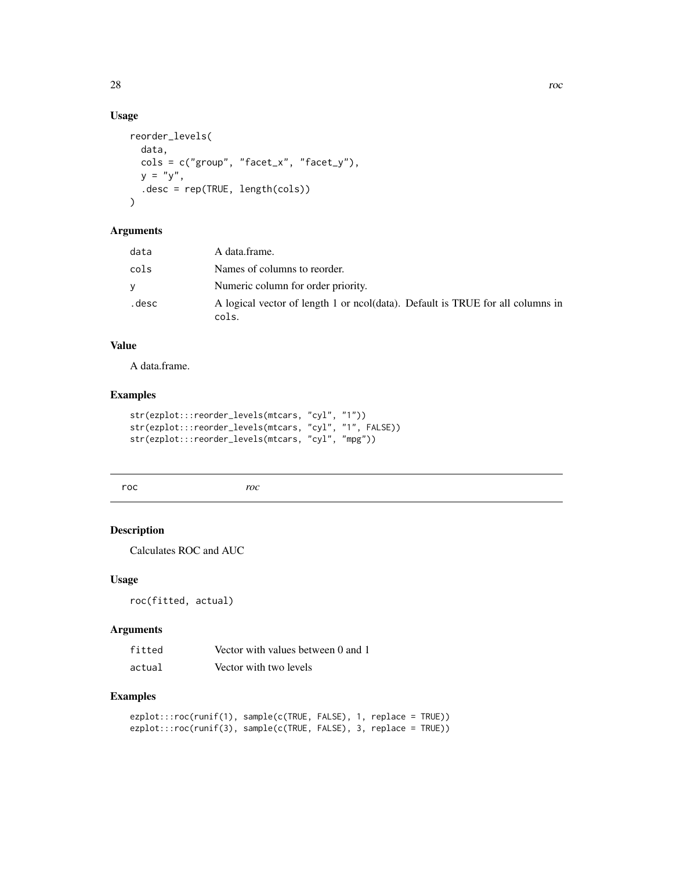# Usage

```
reorder_levels(
  data,
  cols = c("group", "facet_x", "facet_y"),
 y = "y",.desc = rep(TRUE, length(cols))
\mathcal{L}
```
# Arguments

| data  | A data.frame.                                                                           |
|-------|-----------------------------------------------------------------------------------------|
| cols  | Names of columns to reorder.                                                            |
| v     | Numeric column for order priority.                                                      |
| .desc | A logical vector of length 1 or ncol(data). Default is TRUE for all columns in<br>cols. |

#### Value

A data.frame.

### Examples

```
str(ezplot:::reorder_levels(mtcars, "cyl", "1"))
str(ezplot:::reorder_levels(mtcars, "cyl", "1", FALSE))
str(ezplot:::reorder_levels(mtcars, "cyl", "mpg"))
```
roc *roc*

# Description

Calculates ROC and AUC

#### Usage

roc(fitted, actual)

#### Arguments

| fitted | Vector with values between 0 and 1 |
|--------|------------------------------------|
| actual | Vector with two levels             |

```
ezplot:::roc(runif(1), sample(c(TRUE, FALSE), 1, replace = TRUE))
ezplot:::roc(runif(3), sample(c(TRUE, FALSE), 3, replace = TRUE))
```
<span id="page-27-0"></span>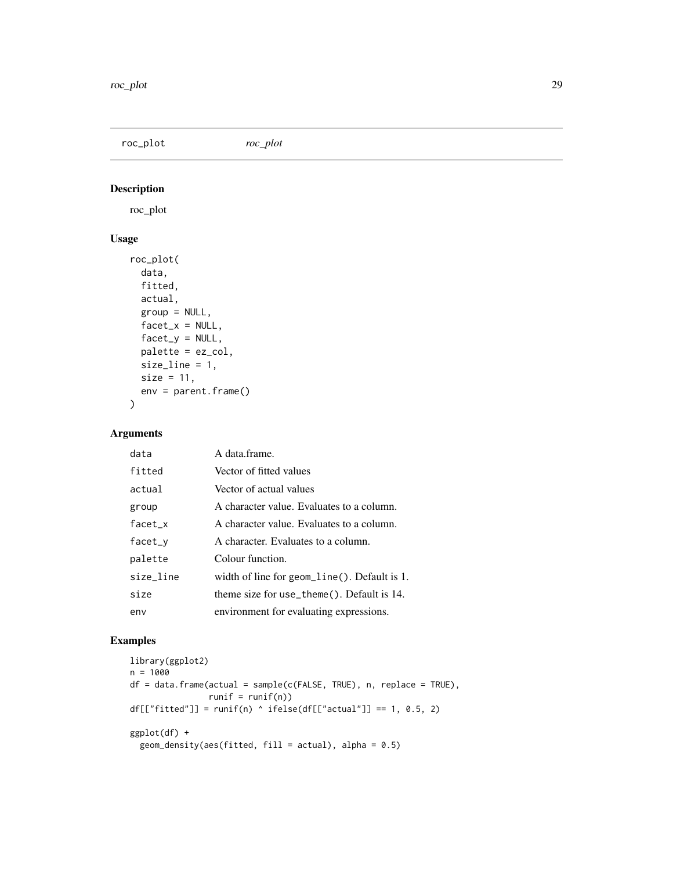<span id="page-28-0"></span>roc\_plot *roc\_plot*

# Description

roc\_plot

# Usage

```
roc_plot(
  data,
 fitted,
 actual,
  group = NULL,
  factor_x = NULL,factor_y = NULL,palette = ez_col,
 size_line = 1,
 size = 11,env = parent.frame()
\mathcal{L}
```
### Arguments

| data      | A data frame.                                |
|-----------|----------------------------------------------|
| fitted    | Vector of fitted values                      |
| actual    | Vector of actual values                      |
| group     | A character value. Evaluates to a column.    |
| $facet_x$ | A character value. Evaluates to a column.    |
| $facet_v$ | A character. Evaluates to a column.          |
| palette   | Colour function.                             |
| size_line | width of line for geom_line(). Default is 1. |
| size      | theme size for use_theme(). Default is 14.   |
| env       | environment for evaluating expressions.      |

```
library(ggplot2)
n = 1000
df = data frame(actual = sample(c(FALSE, TRUE), n, replace = TRUE),runif = runif(n))
df[["fitted"] = runif(n) ' ifelse(df[["actual"] == 1, 0.5, 2)ggplot(df) +geom_density(aes(fitted, fill = actual), alpha = 0.5)
```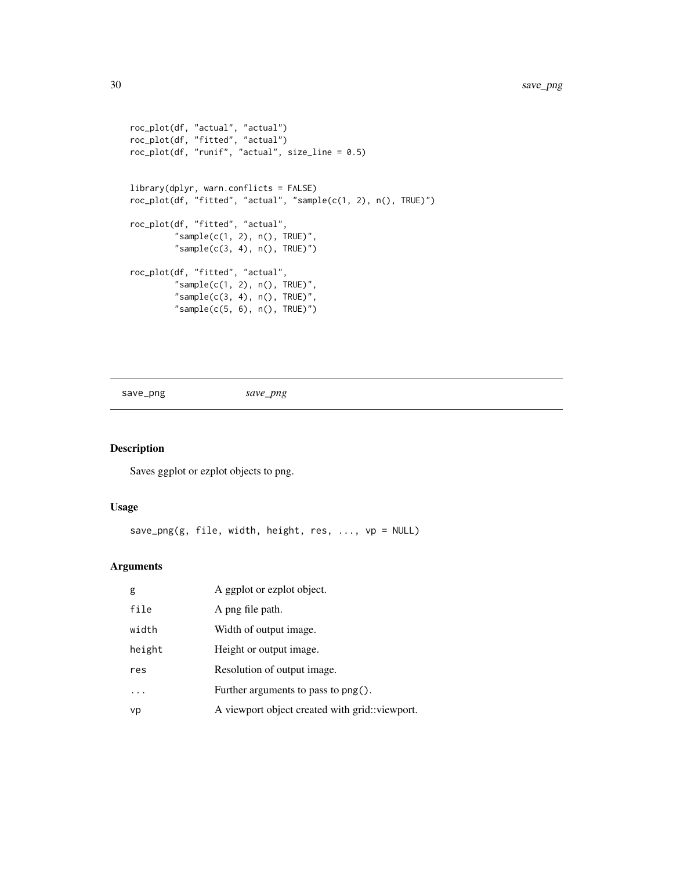```
roc_plot(df, "actual", "actual")
roc_plot(df, "fitted", "actual")
roc_plot(df, "runif", "actual", size_line = 0.5)
library(dplyr, warn.conflicts = FALSE)
roc_plot(df, "fitted", "actual", "sample(c(1, 2), n(), TRUE)")
roc_plot(df, "fitted", "actual",
         "sample(c(1, 2), n(), TRUE)",
         "sample(c(3, 4), n(), TRUE)")roc_plot(df, "fitted", "actual",
         "sample(c(1, 2), n(), TRUE)",
         "sample(c(3, 4), n(), TRUE)",
         "sample(c(5, 6), n(), TRUE)"
```
save\_png *save\_png*

# Description

Saves ggplot or ezplot objects to png.

#### Usage

save\_png(g, file, width, height, res, ..., vp = NULL)

| g      | A ggplot or ezplot object.                      |
|--------|-------------------------------------------------|
| file   | A png file path.                                |
| width  | Width of output image.                          |
| height | Height or output image.                         |
| res    | Resolution of output image.                     |
|        | Further arguments to pass to $\mathsf{png}()$ . |
| vp     | A viewport object created with grid::viewport.  |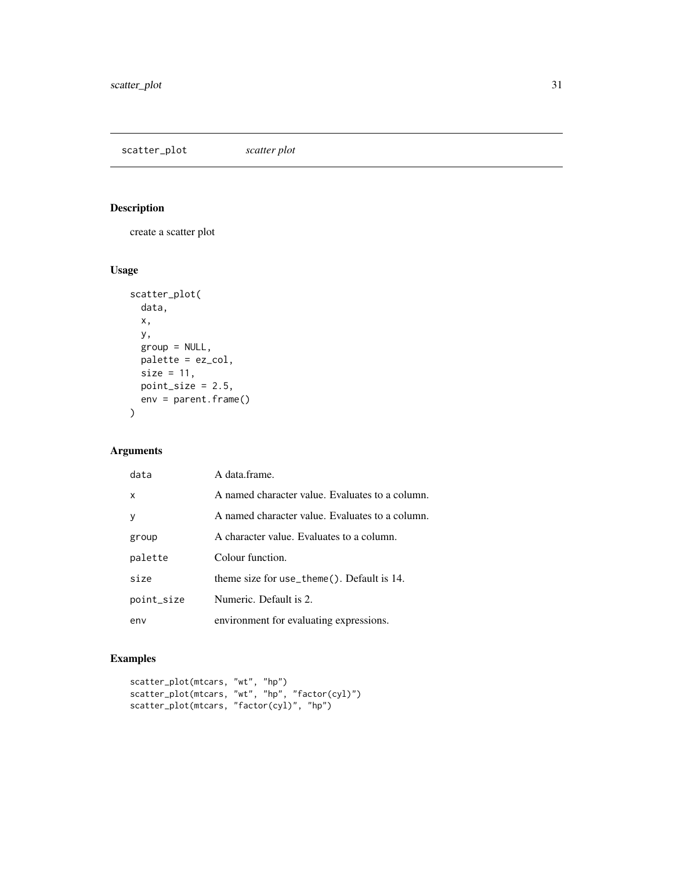<span id="page-30-0"></span>scatter\_plot *scatter plot*

# Description

create a scatter plot

### Usage

```
scatter_plot(
 data,
 x,
 y,
 group = NULL,
 palette = ez_col,
 size = 11,
 point_size = 2.5,
 env = parent.frame()
)
```
# Arguments

| data         | A data frame.                                   |
|--------------|-------------------------------------------------|
| X            | A named character value. Evaluates to a column. |
| $\mathsf{V}$ | A named character value. Evaluates to a column. |
| group        | A character value. Evaluates to a column.       |
| palette      | Colour function.                                |
| size         | theme size for use_theme $()$ . Default is 14.  |
| point_size   | Numeric. Default is 2.                          |
| env          | environment for evaluating expressions.         |

```
scatter_plot(mtcars, "wt", "hp")
scatter_plot(mtcars, "wt", "hp", "factor(cyl)")
scatter_plot(mtcars, "factor(cyl)", "hp")
```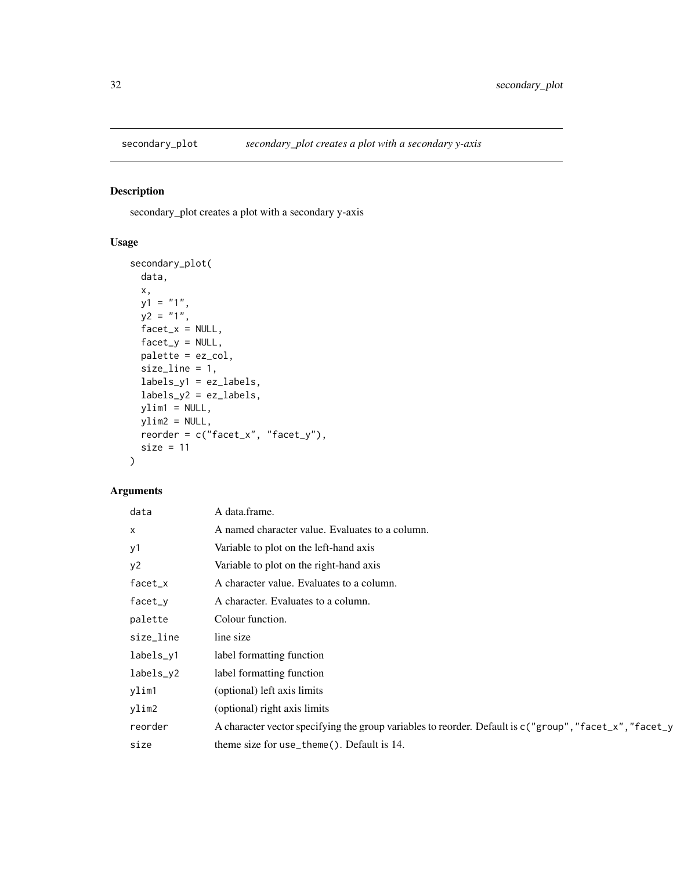<span id="page-31-0"></span>

### Description

secondary\_plot creates a plot with a secondary y-axis

# Usage

```
secondary_plot(
 data,
 x,
 y1 = "1",y2 = "1",factor_x = NULL,factor_y = NULL,palette = ez_col,
 size_line = 1,
 labels_y1 = ez_labels,
 labels_y2 = ez_labels,
 ylim1 = NULL,ylim2 = NULL,reorder = c("facet_x", "facet_y"),size = 11
)
```

| data      | A data.frame.                                                                                           |
|-----------|---------------------------------------------------------------------------------------------------------|
| $\times$  | A named character value. Evaluates to a column.                                                         |
| y1        | Variable to plot on the left-hand axis                                                                  |
| y2        | Variable to plot on the right-hand axis                                                                 |
| $facet_x$ | A character value. Evaluates to a column.                                                               |
| facet_y   | A character. Evaluates to a column.                                                                     |
| palette   | Colour function.                                                                                        |
| size_line | line size                                                                                               |
| labels_y1 | label formatting function                                                                               |
| labels_y2 | label formatting function                                                                               |
| ylim1     | (optional) left axis limits                                                                             |
| ylim2     | (optional) right axis limits                                                                            |
| reorder   | A character vector specifying the group variables to reorder. Default is c("group", "facet_x", "facet_y |
| size      | theme size for use_theme(). Default is 14.                                                              |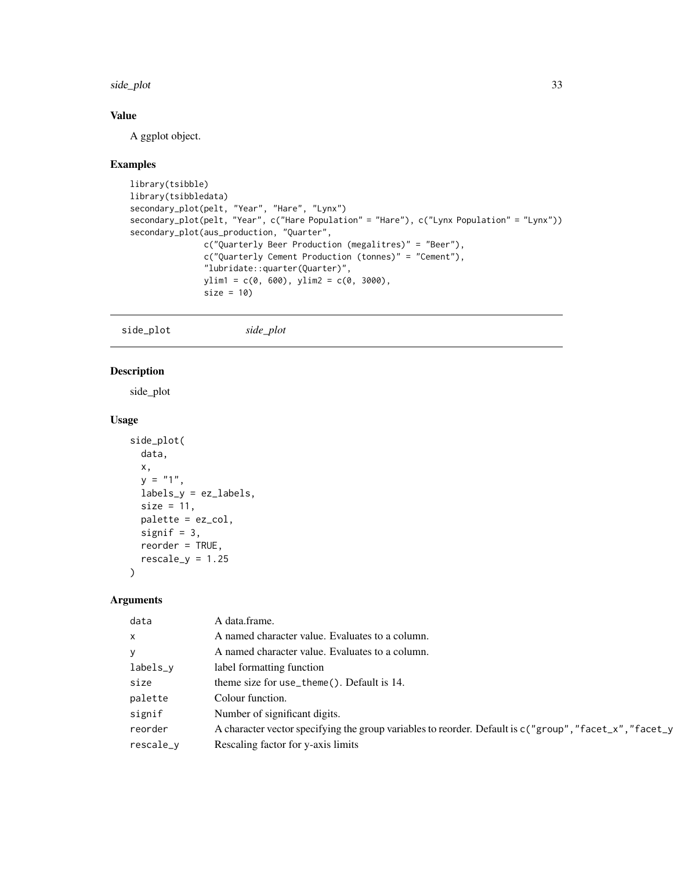<span id="page-32-0"></span>side\_plot 33

# Value

A ggplot object.

#### Examples

```
library(tsibble)
library(tsibbledata)
secondary_plot(pelt, "Year", "Hare", "Lynx")
secondary_plot(pelt, "Year", c("Hare Population" = "Hare"), c("Lynx Population" = "Lynx"))
secondary_plot(aus_production, "Quarter",
               c("Quarterly Beer Production (megalitres)" = "Beer"),
               c("Quarterly Cement Production (tonnes)" = "Cement"),
               "lubridate::quarter(Quarter)",
               ylim1 = c(0, 600), ylim2 = c(0, 3000),size = 10
```
side\_plot *side\_plot*

#### Description

side\_plot

#### Usage

```
side_plot(
 data,
  x,
  y = "1",labels_y = ez_labels,
  size = 11,
 palette = ez_col,
  signif = 3,
  reorder = TRUE,
  rescale_y = 1.25\mathcal{L}
```

| data         | A data.frame.                                                                                             |
|--------------|-----------------------------------------------------------------------------------------------------------|
| $\mathsf{x}$ | A named character value. Evaluates to a column.                                                           |
| y            | A named character value. Evaluates to a column.                                                           |
| labels_v     | label formatting function                                                                                 |
| size         | theme size for use_theme(). Default is 14.                                                                |
| palette      | Colour function.                                                                                          |
| signif       | Number of significant digits.                                                                             |
| reorder      | A character vector specifying the group variables to reorder. Default is $c("group", "facet_x", "facet_y$ |
| rescale_v    | Rescaling factor for y-axis limits                                                                        |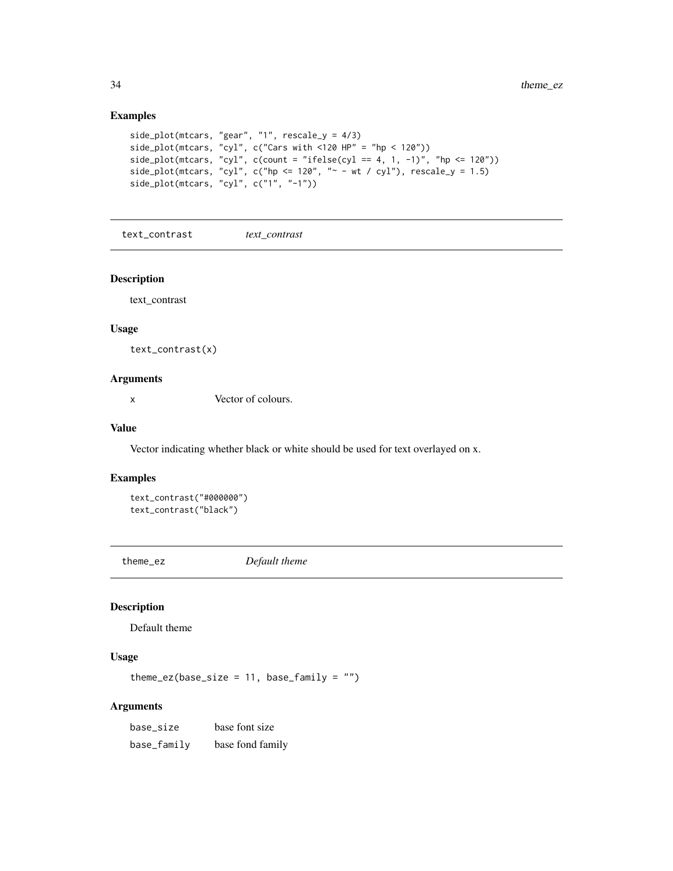# Examples

```
side_plot(mtcars, "gear", "1", rescale_y = 4/3)
side_plot(mtcars, "cyl", c("Cars with <120 HP" = "hp < 120"))
side_plot(mtcars, "cyl", c(count = "ifelse(cyl == 4, 1, -1)", "hp <= 120"))
side_plot(mtcars, "cyl", c("hp <= 120", "~ - wt / cyl"), rescale_y = 1.5)side_plot(mtcars, "cyl", c("1", "-1"))
```
text\_contrast *text\_contrast*

#### Description

text\_contrast

#### Usage

text\_contrast(x)

#### Arguments

x Vector of colours.

#### Value

Vector indicating whether black or white should be used for text overlayed on x.

#### Examples

```
text_contrast("#000000")
text_contrast("black")
```
theme\_ez *Default theme*

### Description

Default theme

#### Usage

theme\_ez(base\_size =  $11$ , base\_family = "")

| base_size   | base font size   |
|-------------|------------------|
| base_family | base fond family |

<span id="page-33-0"></span>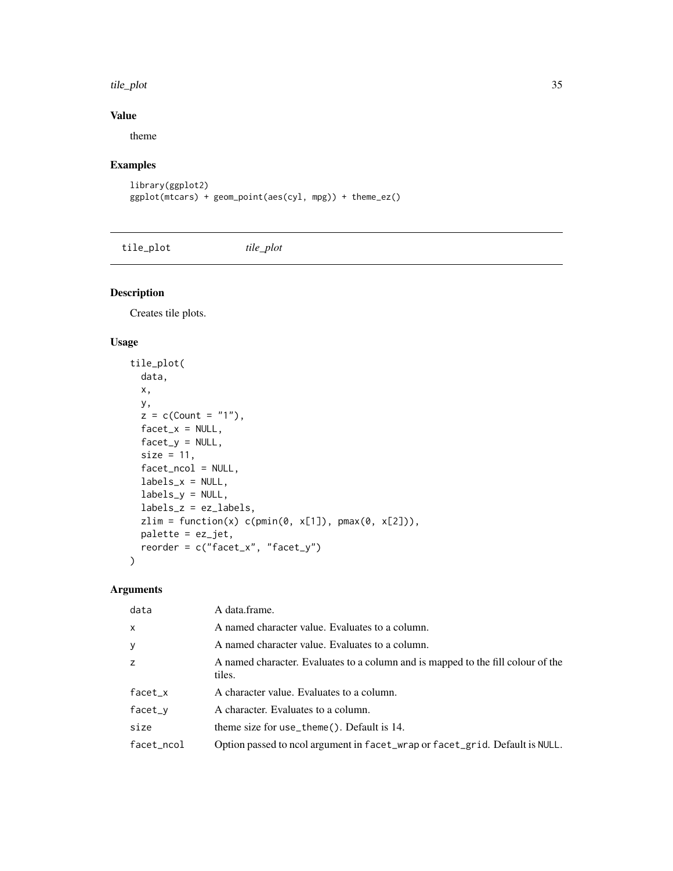#### <span id="page-34-0"></span>tile\_plot 35

# Value

theme

# Examples

```
library(ggplot2)
ggplot(mtcars) + geom_point(aes(cyl, mpg)) + theme_ez()
```
tile\_plot *tile\_plot*

Description

Creates tile plots.

#### Usage

```
tile_plot(
 data,
 x,
 y,
 z = c(Count = "1"),
 factor_x = NULL,factor_y = NULL,size = 11,
 facet_ncol = NULL,
 labels_x = NULL,labels_y = NULL,labels_z = ez_labels,
 zlim = function(x) c(pmin(\emptyset, x[1]), pmax(\emptyset, x[2])),
 palette = ez_jet,
 reorder = c("facet_x", "facet_y")
\mathcal{L}
```

| data         | A data.frame.                                                                              |
|--------------|--------------------------------------------------------------------------------------------|
| $\mathsf{x}$ | A named character value. Evaluates to a column.                                            |
| y            | A named character value. Evaluates to a column.                                            |
| z            | A named character. Evaluates to a column and is mapped to the fill colour of the<br>tiles. |
| $facet_x$    | A character value. Evaluates to a column.                                                  |
| facet_y      | A character. Evaluates to a column.                                                        |
| size         | theme size for use_theme(). Default is 14.                                                 |
| facet_ncol   | Option passed to ncol argument in facet_wrap or facet_grid. Default is NULL.               |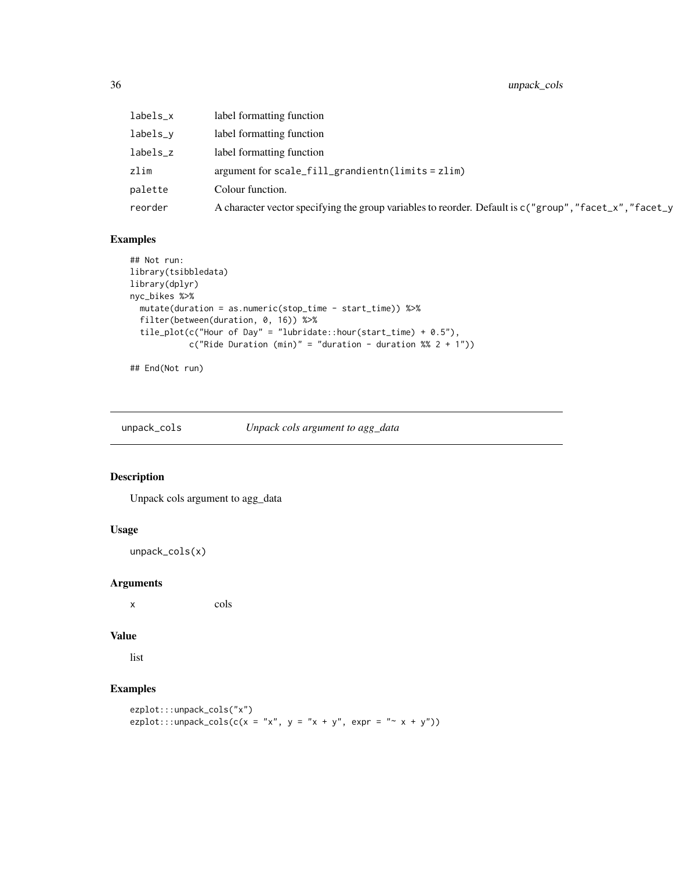<span id="page-35-0"></span>36 unpack\_cols

| labels_x | label formatting function                                                                                 |
|----------|-----------------------------------------------------------------------------------------------------------|
| labels_v | label formatting function                                                                                 |
| labels_z | label formatting function                                                                                 |
| zlim     | argument for scale_fill_grandientn(limits = zlim)                                                         |
| palette  | Colour function.                                                                                          |
| reorder  | A character vector specifying the group variables to reorder. Default is $c("group", "facet_x", "facet_y$ |

# Examples

```
## Not run:
library(tsibbledata)
library(dplyr)
nyc_bikes %>%
  mutate(duration = as.numeric(stop_time - start_time)) %>%
  filter(between(duration, 0, 16)) %>%
  tile_plot(c("Hour of Day" = "lubridate::hour(start_time) + 0.5"),
             c("Ride \; \text{Duration} \; (\text{min})" = "duration - duration \; \text{Sw} \; 2 + 1")
```
## End(Not run)

unpack\_cols *Unpack cols argument to agg\_data*

# Description

Unpack cols argument to agg\_data

#### Usage

unpack\_cols(x)

#### Arguments

x cols

# Value

list

```
ezplot:::unpack_cols("x")
ezplot:::unpack_cols(c(x = "x", y = "x + y", expr = "~ x + y"))
```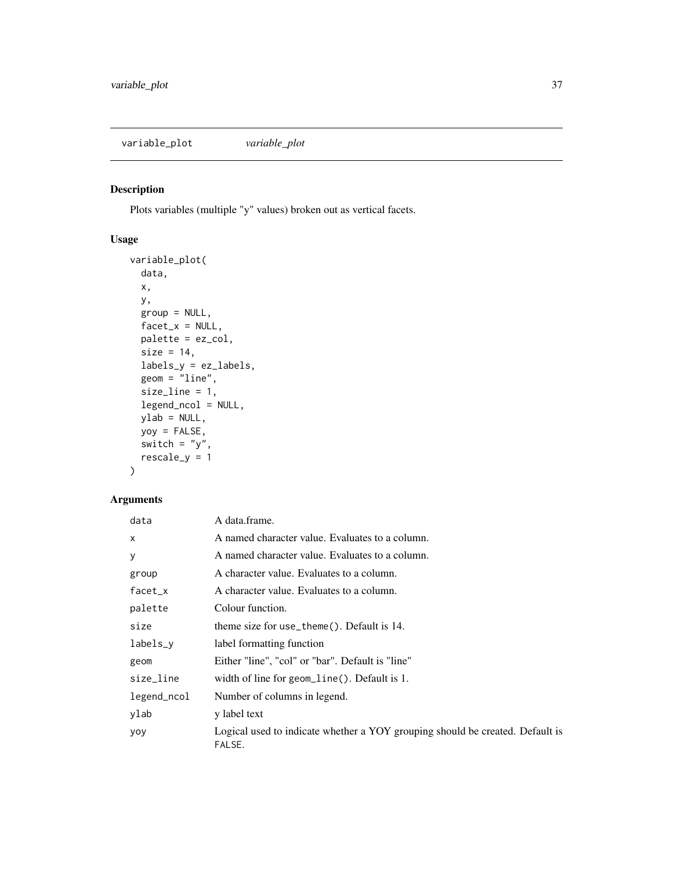<span id="page-36-0"></span>variable\_plot *variable\_plot*

### Description

Plots variables (multiple "y" values) broken out as vertical facets.

# Usage

```
variable_plot(
  data,
 x,
 y,
  group = NULL,
 factor_x = NULL,palette = ez_col,
 size = 14,
 labels_y = ez_labels,
 geom = "line",
  size_line = 1,
 legend_ncol = NULL,
 ylab = NULL,
 yoy = FALSE,
 switch = "y",rescale_y = 1
)
```

| data        | A data.frame.                                                                           |
|-------------|-----------------------------------------------------------------------------------------|
| x           | A named character value. Evaluates to a column.                                         |
| y           | A named character value. Evaluates to a column.                                         |
| group       | A character value. Evaluates to a column.                                               |
| $facet_x$   | A character value. Evaluates to a column.                                               |
| palette     | Colour function.                                                                        |
| size        | theme size for use_theme $()$ . Default is 14.                                          |
| labels_y    | label formatting function                                                               |
| geom        | Either "line", "col" or "bar". Default is "line"                                        |
| size_line   | width of line for geom_line( $\cdot$ ). Default is 1.                                   |
| legend_ncol | Number of columns in legend.                                                            |
| ylab        | y label text                                                                            |
| yoy         | Logical used to indicate whether a YOY grouping should be created. Default is<br>FALSE. |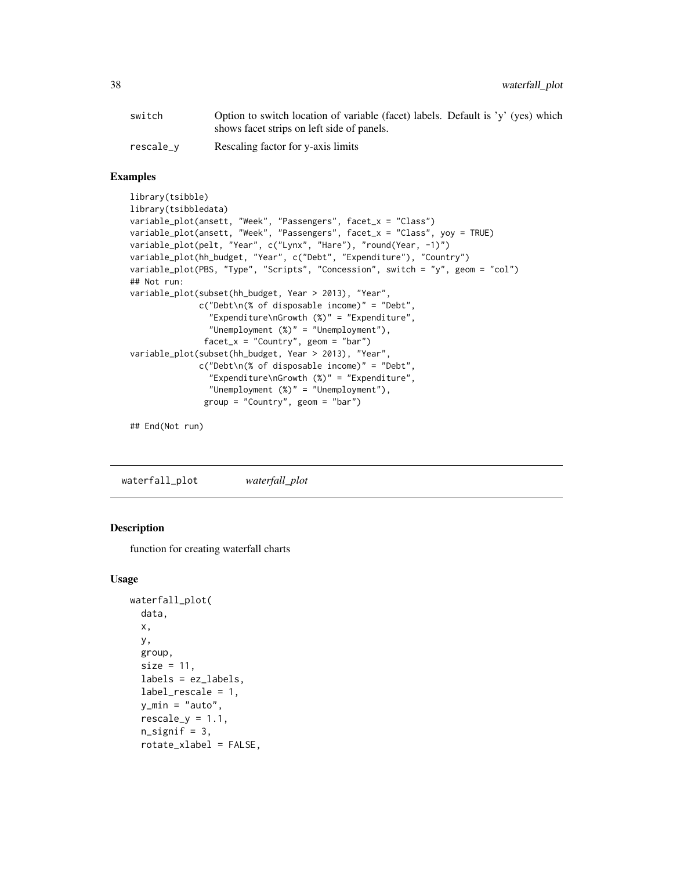<span id="page-37-0"></span>

| switch    | Option to switch location of variable (facet) labels. Default is 'y' (yes) which |
|-----------|----------------------------------------------------------------------------------|
|           | shows facet strips on left side of panels.                                       |
| rescale_v | Rescaling factor for y-axis limits                                               |

#### Examples

```
library(tsibble)
library(tsibbledata)
variable_plot(ansett, "Week", "Passengers", facet_x = "Class")
variable_plot(ansett, "Week", "Passengers", facet_x = "Class", yoy = TRUE)
variable_plot(pelt, "Year", c("Lynx", "Hare"), "round(Year, -1)")
variable_plot(hh_budget, "Year", c("Debt", "Expenditure"), "Country")
variable_plot(PBS, "Type", "Scripts", "Concession", switch = "y", geom = "col")
## Not run:
variable_plot(subset(hh_budget, Year > 2013), "Year",
              c("Debt\n(% of disposable income)" = "Debt",
                "Expenditure\nGrowth (%)" = "Expenditure",
                "Unemployment (%)" = "Unemployment"),
               facet_x = "Country", geom = "bar")variable_plot(subset(hh_budget, Year > 2013), "Year",
              c("Debt\n(% of disposable income)" = "Debt",
                "Expenditure\nGrowth (%)" = "Expenditure",
                "Unemployment (%)" = "Unemployment"),
               group = "Country", geom = "bar")
```
## End(Not run)

waterfall\_plot *waterfall\_plot*

#### **Description**

function for creating waterfall charts

#### Usage

```
waterfall_plot(
  data,
  x,
 y,
  group,
 size = 11,
  labels = ez_labels,
  label_rescale = 1,
 y_{min} = "auto",rescale_y = 1.1,n_signif = 3,
  rotate_xlabel = FALSE,
```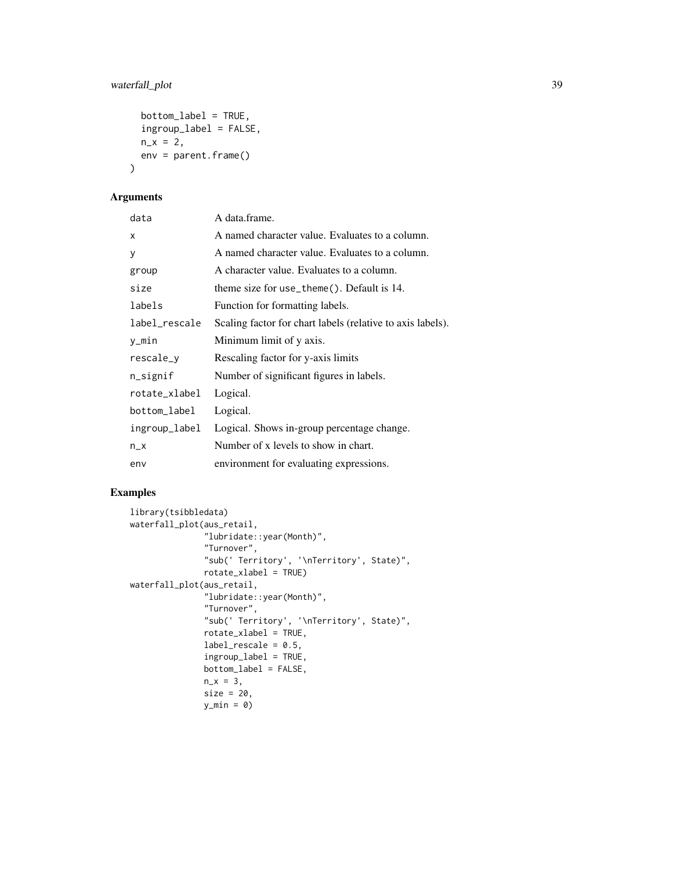# waterfall\_plot 39

```
bottom_label = TRUE,
  ingroup_label = FALSE,
 n_x = 2,
 env = parent.frame()
)
```
# Arguments

| data          | A data.frame.                                              |
|---------------|------------------------------------------------------------|
| X             | A named character value. Evaluates to a column.            |
| y             | A named character value. Evaluates to a column.            |
| group         | A character value. Evaluates to a column.                  |
| size          | theme size for use_theme(). Default is 14.                 |
| labels        | Function for formatting labels.                            |
| label_rescale | Scaling factor for chart labels (relative to axis labels). |
| y_min         | Minimum limit of y axis.                                   |
| rescale_y     | Rescaling factor for y-axis limits                         |
| n_signif      | Number of significant figures in labels.                   |
| rotate_xlabel | Logical.                                                   |
| bottom_label  | Logical.                                                   |
| ingroup_label | Logical. Shows in-group percentage change.                 |
| $n_x$         | Number of x levels to show in chart.                       |
| env           | environment for evaluating expressions.                    |

```
library(tsibbledata)
waterfall_plot(aus_retail,
               "lubridate::year(Month)",
               "Turnover",
               "sub(' Territory', '\nTerritory', State)",
               rotate_xlabel = TRUE)
waterfall_plot(aus_retail,
               "lubridate::year(Month)",
                "Turnover",
                "sub(' Territory', '\nTerritory', State)",
               rotate_xlabel = TRUE,
               label_rescale = 0.5,
               ingroup_label = TRUE,
               bottom_label = FALSE,
               n_x = 3,
               size = 20,y_{\text{min}} = \emptyset
```